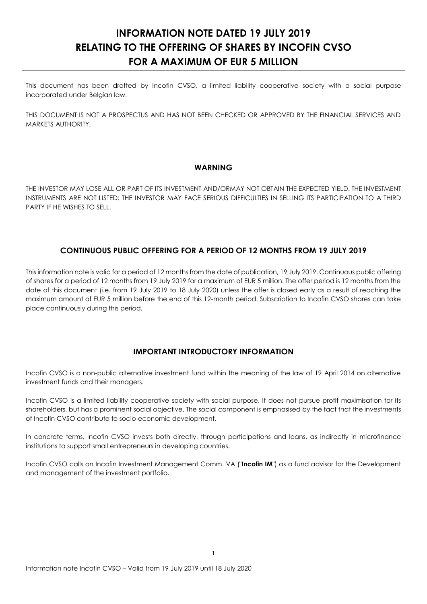# **INFORMATION NOTE DATED 19 JULY 2019 RELATING TO THE OFFERING OF SHARES BY INCOFIN CVSO FOR A MAXIMUM OF EUR 5 MILLION**

This document has been drafted by Incofin CVSO, a limited liability cooperative society with a social purpose incorporated under Belgian law.

THIS DOCUMENT IS NOT A PROSPECTUS AND HAS NOT BEEN CHECKED OR APPROVED BY THE FINANCIAL SERVICES AND MARKETS AUTHORITY.

# **WARNING**

THE INVESTOR MAY LOSE ALL OR PART OF ITS INVESTMENT AND/ORMAY NOT OBTAIN THE EXPECTED YIELD. THE INVESTMENT INSTRUMENTS ARE NOT LISTED: THE INVESTOR MAY FACE SERIOUS DIFFICULTIES IN SELLING ITS PARTICIPATION TO A THIRD PARTY IF HE WISHES TO SELL.

# **CONTINUOUS PUBLIC OFFERING FOR A PERIOD OF 12 MONTHS FROM 19 JULY 2019**

This information note is valid for a period of 12 months from the date of publication, 19 July 2019. Continuous public offering of shares for a period of 12 months from 19 July 2019 for a maximum of EUR 5 million. The offer period is 12 months from the date of this document (i.e. from 19 July 2019 to 18 July 2020) unless the offer is closed early as a result of reaching the maximum amount of EUR 5 million before the end of this 12-month period. Subscription to Incofin CVSO shares can take place continuously during this period.

# **IMPORTANT INTRODUCTORY INFORMATION**

Incofin CVSO is a non-public alternative investment fund within the meaning of the law of 19 April 2014 on alternative investment funds and their managers.

Incofin CVSO is a limited liability cooperative society with social purpose. It does not pursue profit maximisation for its shareholders, but has a prominent social objective. The social component is emphasised by the fact that the investments of Incofin CVSO contribute to socio-economic development.

In concrete terms, Incofin CVSO invests both directly, through participations and loans, as indirectly in microfinance institutions to support small entrepreneurs in developing countries.

Incofin CVSO calls on Incofin Investment Management Comm. VA ("**Incofin IM**") as a fund advisor for the Development and management of the investment portfolio.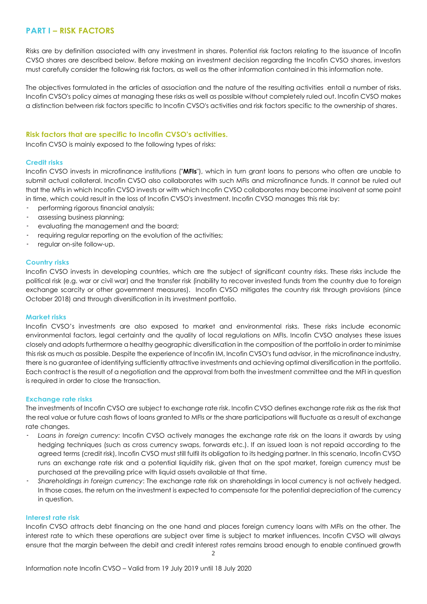# **PART I – RISK FACTORS**

Risks are by definition associated with any investment in shares. Potential risk factors relating to the issuance of Incofin CVSO shares are described below. Before making an investment decision regarding the Incofin CVSO shares, investors must carefully consider the following risk factors, as well as the other information contained in this information note.

The objectives formulated in the articles of association and the nature of the resulting activities entail a number of risks. Incofin CVSO's policy aimes at managing these risks as well as possible without completely ruled out. Incofin CVSO makes a distinction between risk factors specific to Incofin CVSO's activities and risk factors specific to the ownership of shares.

### **Risk factors that are specific to Incofin CVSO's activities.**

Incofin CVSO is mainly exposed to the following types of risks:

### **Credit risks**

Incofin CVSO invests in microfinance institutions ("**MFIs**"), which in turn grant loans to persons who often are unable to submit actual collateral. Incofin CVSO also collaborates with such MFIs and microfinance funds. It cannot be ruled out that the MFIs in which Incofin CVSO invests or with which Incofin CVSO collaborates may become insolvent at some point in time, which could result in the loss of Incofin CVSO's investment. Incofin CVSO manages this risk by:

- · performing rigorous financial analysis;
- assessing business planning;
- evaluating the management and the board;
- requiring regular reporting on the evolution of the activities;
- regular on-site follow-up.

### **Country risks**

Incofin CVSO invests in developing countries, which are the subject of significant country risks. These risks include the political risk (e.g. war or civil war) and the transfer risk (inability to recover invested funds from the country due to foreign exchange scarcity or other government measures). Incofin CVSO mitigates the country risk through provisions (since October 2018) and through diversification in its investment portfolio.

### **Market risks**

Incofin CVSO's investments are also exposed to market and environmental risks. These risks include economic environmental factors, legal certainty and the quality of local regulations on MFIs. Incofin CVSO analyses these issues closely and adopts furthermore a healthy geographic diversification in the composition of the portfolio in order to minimise this risk as much as possible. Despite the experience of Incofin IM, Incofin CVSO's fund advisor, in the microfinance industry, there is no guarantee of identifying sufficiently attractive investments and achieving optimal diversification in the portfolio. Each contract is the result of a negotiation and the approval from both the investment committee and the MFI in question is required in order to close the transaction.

### **Exchange rate risks**

The investments of Incofin CVSO are subject to exchange rate risk. Incofin CVSO defines exchange rate risk as the risk that the real value or future cash flows of loans granted to MFIs or the share participations will fluctuate as a result of exchange rate changes.

- · *Loans in foreign currency:* Incofin CVSO actively manages the exchange rate risk on the loans it awards by using hedging techniques (such as cross currency swaps, forwards etc.). If an issued loan is not repaid according to the agreed terms (credit risk), Incofin CVSO must still fulfil its obligation to its hedging partner. In this scenario, Incofin CVSO runs an exchange rate risk and a potential liquidity risk, given that on the spot market, foreign currency must be purchased at the prevailing price with liquid assets available at that time.
- · *Shareholdings in foreign currency*: The exchange rate risk on shareholdings in local currency is not actively hedged. In those cases, the return on the investment is expected to compensate for the potential depreciation of the currency in question.

### **Interest rate risk**

Incofin CVSO attracts debt financing on the one hand and places foreign currency loans with MFIs on the other. The interest rate to which these operations are subject over time is subject to market influences. Incofin CVSO will always ensure that the margin between the debit and credit interest rates remains broad enough to enable continued growth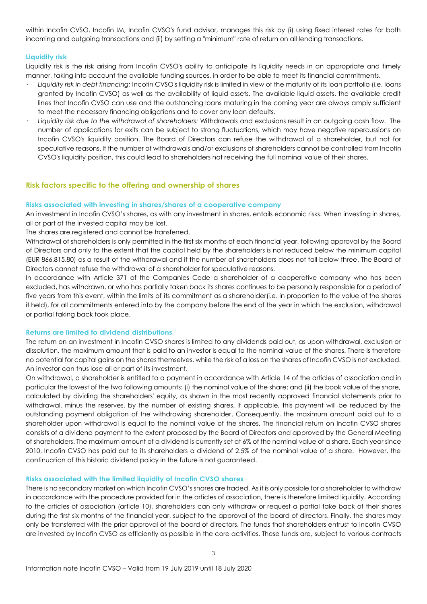within Incofin CVSO. Incofin IM, Incofin CVSO's fund advisor, manages this risk by (i) using fixed interest rates for both incoming and outgoing transactions and (ii) by setting a "minimum" rate of return on all lending transactions.

### **Liquidity risk**

Liquidity risk is the risk arising from Incofin CVSO's ability to anticipate its liquidity needs in an appropriate and timely manner, taking into account the available funding sources, in order to be able to meet its financial commitments.

- · *Liquidity risk in debt financing:* Incofin CVSO's liquidity risk is limited in view of the maturity of its loan portfolio (i.e. loans granted by Incofin CVSO) as well as the availability of liquid assets. The available liquid assets, the available credit lines that Incofin CVSO can use and the outstanding loans maturing in the coming year are always amply sufficient to meet the necessary financing obligations and to cover any loan defaults.
- · *Liquidity risk due to the withdrawal of shareholders:* Withdrawals and exclusions result in an outgoing cash flow. The number of applications for exits can be subject to strong fluctuations, which may have negative repercussions on Incofin CVSO's liquidity position. The Board of Directors can refuse the withdrawal of a shareholder, but not for speculative reasons. If the number of withdrawals and/or exclusions of shareholders cannot be controlled from Incofin CVSO's liquidity position, this could lead to shareholders not receiving the full nominal value of their shares.

### **Risk factors specific to the offering and ownership of shares**

### **Risks associated with investing in shares/shares of a cooperative company**

An investment in Incofin CVSO's shares, as with any investment in shares, entails economic risks. When investing in shares, all or part of the invested capital may be lost.

The shares are registered and cannot be transferred.

Withdrawal of shareholders is only permitted in the first six months of each financial year, following approval by the Board of Directors and only to the extent that the capital held by the shareholders is not reduced below the minimum capital (EUR 866,815.80) as a result of the withdrawal and if the number of shareholders does not fall below three. The Board of Directors cannot refuse the withdrawal of a shareholder for speculative reasons.

In accordance with Article 371 of the Companies Code a shareholder of a cooperative company who has been excluded, has withdrawn, or who has partially taken back its shares continues to be personally responsible for a period of five years from this event, within the limits of its commitment as a shareholder(i.e. in proportion to the value of the shares it held), for all commitments entered into by the company before the end of the year in which the exclusion, withdrawal or partial taking back took place.

### **Returns are limited to dividend distributions**

The return on an investment in Incofin CVSO shares is limited to any dividends paid out, as upon withdrawal, exclusion or dissolution, the maximum amount that is paid to an investor is equal to the nominal value of the shares. There is therefore no potential for capital gains on the shares themselves, while the risk of a loss on the shares of Incofin CVSO is not excluded. An investor can thus lose all or part of its investment.

On withdrawal, a shareholder is entitled to a payment in accordance with Article 14 of the articles of association and in particular the lowest of the two following amounts: (i) the nominal value of the share; and (ii) the book value of the share, calculated by dividing the shareholders' equity, as shown in the most recently approved financial statements prior to withdrawal, minus the reserves, by the number of existing shares. If applicable, this payment will be reduced by the outstanding payment obligation of the withdrawing shareholder. Consequently, the maximum amount paid out to a shareholder upon withdrawal is equal to the nominal value of the shares. The financial return on Incofin CVSO shares consists of a dividend payment to the extent proposed by the Board of Directors and approved by the General Meeting of shareholders. The maximum amount of a dividend is currently set at 6% of the nominal value of a share. Each year since 2010, Incofin CVSO has paid out to its shareholders a dividend of 2.5% of the nominal value of a share. However, the continuation of this historic dividend policy in the future is not guaranteed.

### **Risks associated with the limited liquidity of Incofin CVSO shares**

There is no secondary market on which Incofin CVSO's shares are traded. As it is only possible for a shareholder to withdraw in accordance with the procedure provided for in the articles of association, there is therefore limited liquidity. According to the articles of association (article 10), shareholders can only withdraw or request a partial take back of their shares during the first six months of the financial year, subject to the approval of the board of directors. Finally, the shares may only be transferred with the prior approval of the board of directors. The funds that shareholders entrust to Incofin CVSO are invested by Incofin CVSO as efficiently as possible in the core activities. These funds are, subject to various contracts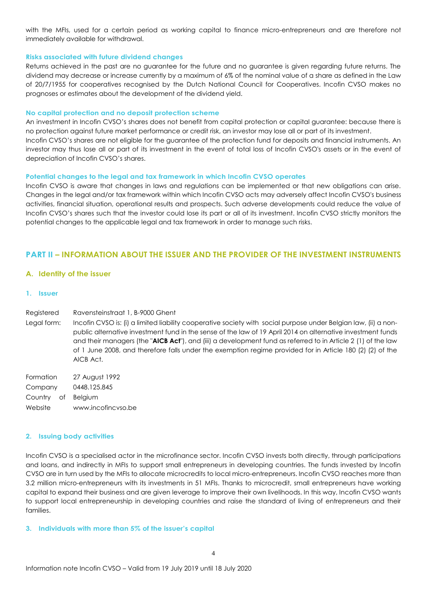with the MFIs, used for a certain period as working capital to finance micro-entrepreneurs and are therefore not immediately available for withdrawal.

### **Risks associated with future dividend changes**

Returns achieved in the past are no guarantee for the future and no guarantee is given regarding future returns. The dividend may decrease or increase currently by a maximum of 6% of the nominal value of a share as defined in the Law of 20/7/1955 for cooperatives recognised by the Dutch National Council for Cooperatives. Incofin CVSO makes no prognoses or estimates about the development of the dividend yield.

### **No capital protection and no deposit protection scheme**

An investment in Incofin CVSO's shares does not benefit from capital protection or capital guarantee: because there is no protection against future market performance or credit risk, an investor may lose all or part of its investment. Incofin CVSO's shares are not eligible for the guarantee of the protection fund for deposits and financial instruments. An investor may thus lose all or part of its investment in the event of total loss of Incofin CVSO's assets or in the event of depreciation of Incofin CVSO's shares.

### **Potential changes to the legal and tax framework in which Incofin CVSO operates**

Incofin CVSO is aware that changes in laws and regulations can be implemented or that new obligations can arise. Changes in the legal and/or tax framework within which Incofin CVSO acts may adversely affect Incofin CVSO's business activities, financial situation, operational results and prospects. Such adverse developments could reduce the value of Incofin CVSO's shares such that the investor could lose its part or all of its investment. Incofin CVSO strictly monitors the potential changes to the applicable legal and tax framework in order to manage such risks.

### **PART II – INFORMATION ABOUT THE ISSUER AND THE PROVIDER OF THE INVESTMENT INSTRUMENTS**

### **A. Identity of the issuer**

### **1. Issuer**

#### Registered Ravensteinstraat 1, B-9000 Ghent

Legal form: Incofin CVSO is: (i) a limited liability cooperative society with social purpose under Belgian law, (ii) a nonpublic alternative investment fund in the sense of the law of 19 April 2014 on alternative investment funds and their managers (the "**AICB Act**"), and (iii) a development fund as referred to in Article 2 (1) of the law of 1 June 2008, and therefore falls under the exemption regime provided for in Article 180 (2) (2) of the AICB Act.

Formation Company 27 August 1992 Country of 0448.125.845 Website Belgium www.incofincvso.be

### **2. Issuing body activities**

Incofin CVSO is a specialised actor in the microfinance sector. Incofin CVSO invests both directly, through participations and loans, and indirectly in MFIs to support small entrepreneurs in developing countries. The funds invested by Incofin CVSO are in turn used by the MFIs to allocate microcredits to local micro-entrepreneurs. Incofin CVSO reaches more than 3.2 million micro-entrepreneurs with its investments in 51 MFIs. Thanks to microcredit, small entrepreneurs have working capital to expand their business and are given leverage to improve their own livelihoods. In this way, Incofin CVSO wants to support local entrepreneurship in developing countries and raise the standard of living of entrepreneurs and their families.

### **3. Individuals with more than 5% of the issuer's capital**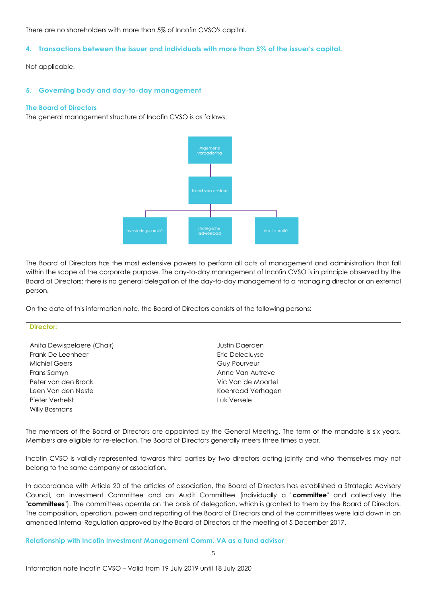There are no shareholders with more than 5% of Incofin CVSO's capital.

### **4. Transactions between the issuer and individuals with more than 5% of the issuer's capital.**

Not applicable.

### **5. Governing body and day-to-day management**

### **The Board of Directors**

The general management structure of Incofin CVSO is as follows:



The Board of Directors has the most extensive powers to perform all acts of management and administration that fall within the scope of the corporate purpose. The day-to-day management of Incofin CVSO is in principle observed by the Board of Directors: there is no general delegation of the day-to-day management to a managing director or an external person.

On the date of this information note, the Board of Directors consists of the following persons:

| <b>Director:</b> |  |  |
|------------------|--|--|
|                  |  |  |

- Anita Dewispelaere (Chair) Justin Daerden Frank De Leenheer **Example 2018** Eric Delecluyse Michiel Geers Guy Pourveur Frans Samyn **Anne Van Autreve** Peter van den Brock Vic Van de Moortel Leen Van den Neste Koenraad Verhagen Pieter Verhelst Luk Versele Willy Bosmans
- 

The members of the Board of Directors are appointed by the General Meeting. The term of the mandate is six years. Members are eligible for re-election. The Board of Directors generally meets three times a year.

Incofin CVSO is validly represented towards third parties by two directors acting jointly and who themselves may not belong to the same company or association.

In accordance with Article 20 of the articles of association, the Board of Directors has established a Strategic Advisory Council, an Investment Committee and an Audit Committee (individually a "**committee**" and collectively the "**committees**"). The committees operate on the basis of delegation, which is granted to them by the Board of Directors. The composition, operation, powers and reporting of the Board of Directors and of the committees were laid down in an amended Internal Regulation approved by the Board of Directors at the meeting of 5 December 2017.

### **Relationship with Incofin Investment Management Comm. VA as a fund advisor**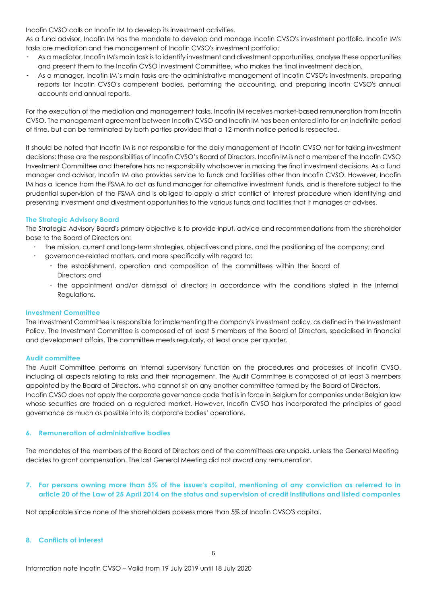Incofin CVSO calls on Incofin IM to develop its investment activities.

As a fund advisor, Incofin IM has the mandate to develop and manage Incofin CVSO's investment portfolio. Incofin IM's tasks are mediation and the management of Incofin CVSO's investment portfolio:

- As a mediator, Incofin IM's main task is to identify investment and divestment opportunities, analyse these opportunities and present them to the Incofin CVSO Investment Committee, who makes the final investment decision.
- As a manager, Incofin IM's main tasks are the administrative management of Incofin CVSO's investments, preparing reports for Incofin CVSO's competent bodies, performing the accounting, and preparing Incofin CVSO's annual accounts and annual reports.

For the execution of the mediation and management tasks, Incofin IM receives market-based remuneration from Incofin CVSO. The management agreement between Incofin CVSO and Incofin IM has been entered into for an indefinite period of time, but can be terminated by both parties provided that a 12-month notice period is respected.

It should be noted that Incofin IM is not responsible for the daily management of Incofin CVSO nor for taking investment decisions; these are the responsibilities of Incofin CVSO's Board of Directors. Incofin IM is not a member of the Incofin CVSO Investment Committee and therefore has no responsibility whatsoever in making the final investment decisions. As a fund manager and advisor, Incofin IM also provides service to funds and facilities other than Incofin CVSO. However, Incofin IM has a licence from the FSMA to act as fund manager for alternative investment funds, and is therefore subject to the prudential supervision of the FSMA and is obliged to apply a strict conflict of interest procedure when identifying and presenting investment and divestment opportunities to the various funds and facilities that it manages or advises.

### **The Strategic Advisory Board**

The Strategic Advisory Board's primary objective is to provide input, advice and recommendations from the shareholder base to the Board of Directors on:

- · the mission, current and long-term strategies, objectives and plans, and the positioning of the company; and
- · governance-related matters, and more specifically with regard to:
	- · the establishment, operation and composition of the committees within the Board of Directors; and
	- · the appointment and/or dismissal of directors in accordance with the conditions stated in the Internal Regulations.

### **Investment Committee**

The Investment Committee is responsible for implementing the company's investment policy, as defined in the Investment Policy. The Investment Committee is composed of at least 5 members of the Board of Directors, specialised in financial and development affairs. The committee meets regularly, at least once per quarter.

### **Audit committee**

The Audit Committee performs an internal supervisory function on the procedures and processes of Incofin CVSO, including all aspects relating to risks and their management. The Audit Committee is composed of at least 3 members appointed by the Board of Directors, who cannot sit on any another committee formed by the Board of Directors. Incofin CVSO does not apply the corporate governance code that is in force in Belgium for companies under Belgian law whose securities are traded on a regulated market. However, Incofin CVSO has incorporated the principles of good governance as much as possible into its corporate bodies' operations.

### **6. Remuneration of administrative bodies**

The mandates of the members of the Board of Directors and of the committees are unpaid, unless the General Meeting decides to grant compensation. The last General Meeting did not award any remuneration.

### **7. For persons owning more than 5% of the issuer's capital, mentioning of any conviction as referred to in article 20 of the Law of 25 April 2014 on the status and supervision of credit institutions and listed companies**

Not applicable since none of the shareholders possess more than 5% of Incofin CVSO'S capital.

### **8. Conflicts of interest**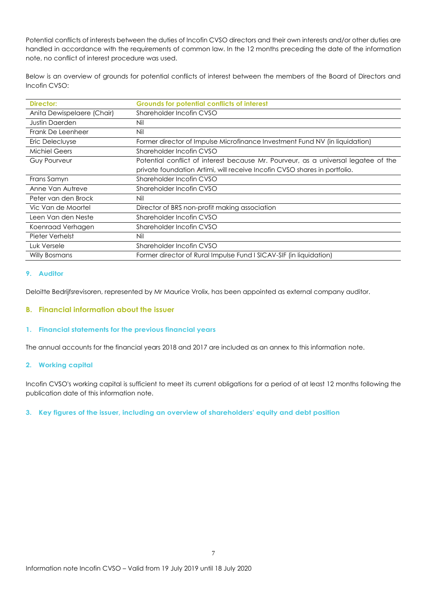Potential conflicts of interests between the duties of Incofin CVSO directors and their own interests and/or other duties are handled in accordance with the requirements of common law. In the 12 months preceding the date of the information note, no conflict of interest procedure was used.

Below is an overview of grounds for potential conflicts of interest between the members of the Board of Directors and Incofin CVSO:

| Director:                  | <b>Grounds for potential conflicts of interest</b>                                 |
|----------------------------|------------------------------------------------------------------------------------|
| Anita Dewispelaere (Chair) | Shareholder Incofin CVSO                                                           |
| <b>Justin Daerden</b>      | Nil                                                                                |
| Frank De Leenheer          | Nil                                                                                |
| Eric Delecluyse            | Former director of Impulse Microfinance Investment Fund NV (in liquidation)        |
| <b>Michiel Geers</b>       | Shareholder Incofin CVSO                                                           |
| Guy Pourveur               | Potential conflict of interest because Mr. Pourveur, as a universal legatee of the |
|                            | private foundation Artimi, will receive Incofin CVSO shares in portfolio.          |
| Frans Samyn                | Shareholder Incofin CVSO                                                           |
| Anne Van Autreve           | Shareholder Incofin CVSO                                                           |
| Peter van den Brock        | Nil                                                                                |
| Vic Van de Moortel         | Director of BRS non-profit making association                                      |
| Leen Van den Neste         | Shareholder Incofin CVSO                                                           |
| Koenraad Verhagen          | Shareholder Incofin CVSO                                                           |
| Pieter Verhelst            | Nil                                                                                |
| Luk Versele                | Shareholder Incofin CVSO                                                           |
| <b>Willy Bosmans</b>       | Former director of Rural Impulse Fund I SICAV-SIF (in liquidation)                 |

### **9. Auditor**

Deloitte Bedrijfsrevisoren, represented by Mr Maurice Vrolix, has been appointed as external company auditor.

### **B. Financial information about the issuer**

### **1. Financial statements for the previous financial years**

The annual accounts for the financial years 2018 and 2017 are included as an annex to this information note.

### **2. Working capital**

Incofin CVSO's working capital is sufficient to meet its current obligations for a period of at least 12 months following the publication date of this information note.

### **3. Key figures of the issuer, including an overview of shareholders' equity and debt position**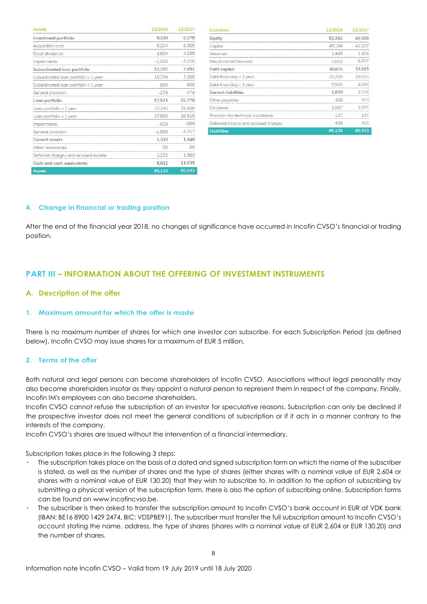| Assets                               | 12/2018  | 12/2017  |
|--------------------------------------|----------|----------|
| Investment portfolio                 | 9,318    | 9,278    |
| Acquisition cost                     | 6,224    | 6,305    |
| Stock dividends                      | 4.604    | 4,189    |
| Impairments                          | $-1,510$ | $-1.216$ |
| Subordinated loan portfolio          | 11,315   | 7.891    |
| Subordinated loan portfolio > 1 year | 10,794   | 7,265    |
| Subordinated loan portfolio < 1 year | 800      | 800      |
| General provision                    | $-279$   | $-174$   |
| Loan portfolio                       | 57,571   | 55,778   |
| Loan portfolio > 1 year              | 32,245   | 31,438   |
| Loan portfolio < 1 year              | 27,850   | 26,515   |
| <i>Impairments</i>                   | $-626$   | $-959$   |
| General provision                    | $-1,899$ | $-1,217$ |
| Current assets                       | 1,319    | 1,948    |
| Other receivables                    | 88       | 85       |
| Deferred charges and accrued income  | 1,231    | 1,863    |
| Cash and cash equivalents            | 5,612    | 11,039   |
| Assets                               | 85.135   | 85,933   |

| Liabilities                                         | 12/2018 | 12/2017 |
|-----------------------------------------------------|---------|---------|
| Equity                                              | 52.282  | 49,588  |
| Capital                                             | 45,184  | 42,207  |
| Reserves                                            | 1.445   | 1.404   |
| Result carried forward                              | 5,653   | 5.977   |
| Debt capital                                        | 30,815  | 33,815  |
| Debt financing > 1 year                             | 21.250  | 29,815  |
| Debt financing $<$ 1 year                           | 9.565   | 4,000   |
| <b>Current liabilities</b>                          | 2.039   | 2,530   |
| Other payables<br>-2012 - 2012 - 2012 - 2012 - 2013 | 358     | 923     |
| <b>Dividends</b>                                    | 1.097   | 1,005   |
| Provision for technical assistance                  | 137     | 147     |
| Deferred income and accrued charges                 | 448     | 455     |
| <b>Liabilities</b>                                  | 85.135  | 85,933  |

### **4. Change in financial or trading position**

After the end of the financial year 2018, no changes of significance have occurred in Incofin CVSO's financial or trading position.

# **PART III – INFORMATION ABOUT THE OFFERING OF INVESTMENT INSTRUMENTS**

### **A. Description of the offer**

### **1. Maximum amount for which the offer is made**

There is no maximum number of shares for which one investor can subscribe. For each Subscription Period (as defined below), Incofin CVSO may issue shares for a maximum of EUR 5 million.

### **2. Terms of the offer**

Both natural and legal persons can become shareholders of Incofin CVSO. Associations without legal personality may also become shareholders insofar as they appoint a natural person to represent them in respect of the company. Finally, Incofin IM's employees can also become shareholders.

Incofin CVSO cannot refuse the subscription of an investor for speculative reasons. Subscription can only be declined if the prospective investor does not meet the general conditions of subscription or if it acts in a manner contrary to the interests of the company.

Incofin CVSO's shares are issued without the intervention of a financial intermediary.

Subscription takes place in the following 3 steps:

- The subscription takes place on the basis of a dated and signed subscription form on which the name of the subscriber is stated, as well as the number of shares and the type of shares (either shares with a nominal value of EUR 2,604 or shares with a nominal value of EUR 130.20) that they wish to subscribe to. In addition to the option of subscribing by submitting a physical version of the subscription form, there is also the option of subscribing online. Subscription forms can be found o[n www.incofincvso.be.](http://www.incofincvso.be./)
- The subscriber is then asked to transfer the subscription amount to Incofin CVSO's bank account in EUR at VDK bank (IBAN: BE16 8900 1429 2474, BIC: VDSPBE91). The subscriber must transfer the full subscription amount to Incofin CVSO's account stating the name, address, the type of shares (shares with a nominal value of EUR 2,604 or EUR 130.20) and the number of shares.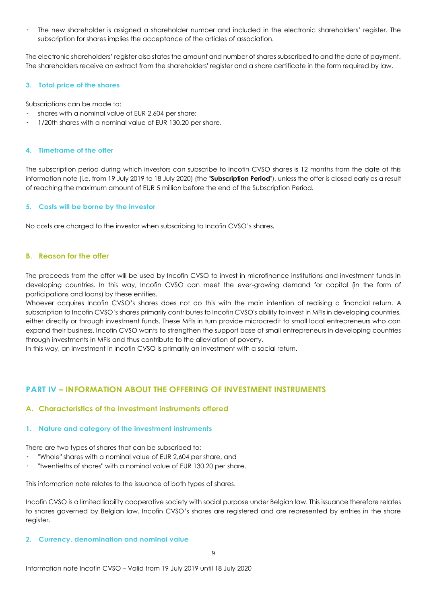The new shareholder is assigned a shareholder number and included in the electronic shareholders' register. The subscription for shares implies the acceptance of the articles of association.

The electronic shareholders' register also states the amount and number of shares subscribed to and the date of payment. The shareholders receive an extract from the shareholders' register and a share certificate in the form required by law.

### **3. Total price of the shares**

Subscriptions can be made to:

- shares with a nominal value of EUR 2,604 per share;
- · 1/20th shares with a nominal value of EUR 130.20 per share.

### **4. Timeframe of the offer**

The subscription period during which investors can subscribe to Incofin CVSO shares is 12 months from the date of this information note (i.e. from 19 July 2019 to 18 July 2020) (the "**Subscription Period**"), unless the offer is closed early as a result of reaching the maximum amount of EUR 5 million before the end of the Subscription Period.

### **5. Costs will be borne by the investor**

No costs are charged to the investor when subscribing to Incofin CVSO's shares*.*

### **B. Reason for the offer**

The proceeds from the offer will be used by Incofin CVSO to invest in microfinance institutions and investment funds in developing countries. In this way, Incofin CVSO can meet the ever-growing demand for capital (in the form of participations and loans) by these entities.

Whoever acquires Incofin CVSO's shares does not do this with the main intention of realising a financial return. A subscription to Incofin CVSO's shares primarily contributes to Incofin CVSO's ability to invest in MFIs in developing countries, either directly or through investment funds. These MFIs in turn provide microcredit to small local entrepreneurs who can expand their business. Incofin CVSO wants to strengthen the support base of small entrepreneurs in developing countries through investments in MFIs and thus contribute to the alleviation of poverty.

In this way, an investment in Incofin CVSO is primarily an investment with a social return.

# **PART IV – INFORMATION ABOUT THE OFFERING OF INVESTMENT INSTRUMENTS**

### **A. Characteristics of the investment instruments offered**

### **1. Nature and category of the investment instruments**

There are two types of shares that can be subscribed to:

- · "Whole" shares with a nominal value of EUR 2,604 per share, and
- "twentieths of shares" with a nominal value of EUR 130.20 per share.

This information note relates to the issuance of both types of shares.

Incofin CVSO is a limited liability cooperative society with social purpose under Belgian law. This issuance therefore relates to shares governed by Belgian law. Incofin CVSO's shares are registered and are represented by entries in the share register.

### **2. Currency, denomination and nominal value**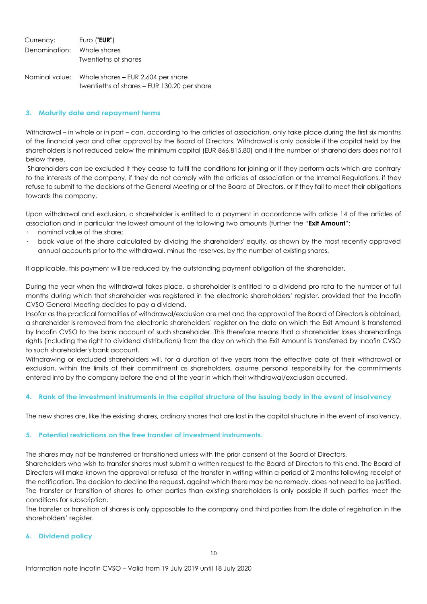Currency: Euro ("**EUR**") Denomination: Whole shares Twentieths of shares

Nominal value: Whole shares – EUR 2,604 per share twentieths of shares – EUR 130.20 per share

### **3. Maturity date and repayment terms**

Withdrawal – in whole or in part – can, according to the articles of association, only take place during the first six months of the financial year and after approval by the Board of Directors. Withdrawal is only possible if the capital held by the shareholders is not reduced below the minimum capital (EUR 866,815.80) and if the number of shareholders does not fall below three.

Shareholders can be excluded if they cease to fulfil the conditions for joining or if they perform acts which are contrary to the interests of the company, if they do not comply with the articles of association or the Internal Regulations, if they refuse to submit to the decisions of the General Meeting or of the Board of Directors, or if they fail to meet their obligations towards the company.

Upon withdrawal and exclusion, a shareholder is entitled to a payment in accordance with article 14 of the articles of association and in particular the lowest amount of the following two amounts (further the "**Exit Amount**":

- · nominal value of the share;
- · book value of the share calculated by dividing the shareholders' equity, as shown by the most recently approved annual accounts prior to the withdrawal, minus the reserves, by the number of existing shares.

If applicable, this payment will be reduced by the outstanding payment obligation of the shareholder.

During the year when the withdrawal takes place, a shareholder is entitled to a dividend pro rata to the number of full months during which that shareholder was registered in the electronic shareholders' register, provided that the Incofin CVSO General Meeting decides to pay a dividend.

Insofar as the practical formalities of withdrawal/exclusion are met and the approval of the Board of Directors is obtained, a shareholder is removed from the electronic shareholders' register on the date on which the Exit Amount is transferred by Incofin CVSO to the bank account of such shareholder. This therefore means that a shareholder loses shareholdings rights (including the right to dividend distributions) from the day on which the Exit Amount is transferred by Incofin CVSO to such shareholder's bank account.

Withdrawing or excluded shareholders will, for a duration of five years from the effective date of their withdrawal or exclusion, within the limits of their commitment as shareholders, assume personal responsibility for the commitments entered into by the company before the end of the year in which their withdrawal/exclusion occurred.

### **4. Rank of the investment instruments in the capital structure of the issuing body in the event of insolvency**

The new shares are, like the existing shares, ordinary shares that are last in the capital structure in the event of insolvency.

### **5. Potential restrictions on the free transfer of investment instruments.**

The shares may not be transferred or transitioned unless with the prior consent of the Board of Directors.

Shareholders who wish to transfer shares must submit a written request to the Board of Directors to this end. The Board of Directors will make known the approval or refusal of the transfer in writing within a period of 2 months following receipt of the notification. The decision to decline the request, against which there may be no remedy, does not need to be justified. The transfer or transition of shares to other parties than existing shareholders is only possible if such parties meet the conditions for subscription.

The transfer or transition of shares is only opposable to the company and third parties from the date of registration in the shareholders' register.

### **6. Dividend policy**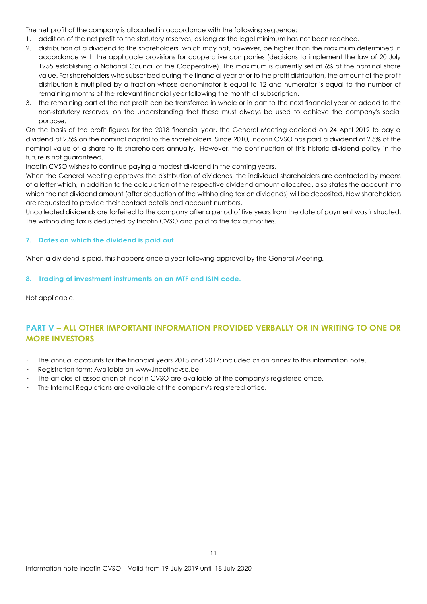The net profit of the company is allocated in accordance with the following sequence:

- 1. addition of the net profit to the statutory reserves, as long as the legal minimum has not been reached.
- 2. distribution of a dividend to the shareholders, which may not, however, be higher than the maximum determined in accordance with the applicable provisions for cooperative companies (decisions to implement the law of 20 July 1955 establishing a National Council of the Cooperative). This maximum is currently set at 6% of the nominal share value. For shareholders who subscribed during the financial year prior to the profit distribution, the amount of the profit distribution is multiplied by a fraction whose denominator is equal to 12 and numerator is equal to the number of remaining months of the relevant financial year following the month of subscription.
- 3. the remaining part of the net profit can be transferred in whole or in part to the next financial year or added to the non-statutory reserves, on the understanding that these must always be used to achieve the company's social purpose.

On the basis of the profit figures for the 2018 financial year, the General Meeting decided on 24 April 2019 to pay a dividend of 2.5% on the nominal capital to the shareholders. Since 2010, Incofin CVSO has paid a dividend of 2.5% of the nominal value of a share to its shareholders annually. However, the continuation of this historic dividend policy in the future is not guaranteed.

Incofin CVSO wishes to continue paying a modest dividend in the coming years.

When the General Meeting approves the distribution of dividends, the individual shareholders are contacted by means of a letter which, in addition to the calculation of the respective dividend amount allocated, also states the account into which the net dividend amount (after deduction of the withholding tax on dividends) will be deposited. New shareholders are requested to provide their contact details and account numbers.

Uncollected dividends are forfeited to the company after a period of five years from the date of payment was instructed. The withholding tax is deducted by Incofin CVSO and paid to the tax authorities.

### **7. Dates on which the dividend is paid out**

When a dividend is paid, this happens once a year following approval by the General Meeting.

### **8. Trading of investment instruments on an MTF and ISIN code.**

Not applicable.

# **PART V – ALL OTHER IMPORTANT INFORMATION PROVIDED VERBALLY OR IN WRITING TO ONE OR MORE INVESTORS**

- The annual accounts for the financial years 2018 and 2017: included as an annex to this information note.
- Registration form: Available on [www.incofincvso.be](http://www.incofincvso.be/)
- The articles of association of Incofin CVSO are available at the company's registered office.
- The Internal Regulations are available at the company's registered office.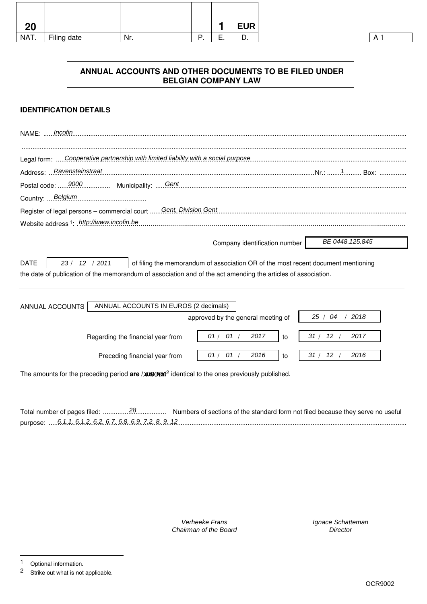| 20   |             |     |               | <b>EUR</b> |
|------|-------------|-----|---------------|------------|
| NAT. | Filing date | Nr. | -<br>-<br>. . | ັບ.        |

# **ANNUAL ACCOUNTS AND OTHER DOCUMENTS TO BE FILED UNDER BELGIAN COMPANY LAW**

# **IDENTIFICATION DETAILS**

| Incofin<br><b>NAME: </b>                                                                                                                                                                                                              |
|---------------------------------------------------------------------------------------------------------------------------------------------------------------------------------------------------------------------------------------|
| Legal form: Cooperative partnership with limited liability with a social purpose                                                                                                                                                      |
|                                                                                                                                                                                                                                       |
|                                                                                                                                                                                                                                       |
| Country:  Belgium                                                                                                                                                                                                                     |
| Register of legal persons - commercial court  Gent, Division Gent.                                                                                                                                                                    |
| Website address <sup>1</sup> : .http://www.incofin.be.                                                                                                                                                                                |
| BE 0448.125.845<br>Company identification number                                                                                                                                                                                      |
| <b>DATE</b><br>23/<br>12 / 2011<br>of filing the memorandum of association OR of the most recent document mentioning<br>the date of publication of the memorandum of association and of the act amending the articles of association. |
| ANNUAL ACCOUNTS IN EUROS (2 decimals)<br>ANNUAL ACCOUNTS<br>25/04<br>2018<br>approved by the general meeting of                                                                                                                       |
| 01/01/<br>2017<br>31/<br>12/<br>2017<br>Regarding the financial year from<br>to                                                                                                                                                       |
| 01/01/<br>2016<br>12/<br>31/<br>2016<br>Preceding financial year from<br>to                                                                                                                                                           |
| The amounts for the preceding period are / $\triangle$ <b>xixixixixi</b> <sup>2</sup> identical to the ones previously published.                                                                                                     |

|                                                           | Numbers of sections of the standard form not filed because they serve no useful |
|-----------------------------------------------------------|---------------------------------------------------------------------------------|
| purpose:  6.1.1. 6.1.2. 6.2. 6.7. 6.8. 6.9. 7.2. 8. 9. 12 |                                                                                 |

Verheeke Frans Chairman of the Board Ignace Schatteman **Director** 

-

<sup>1</sup> Optional information.<br>2 Strike out what is not

Strike out what is not applicable.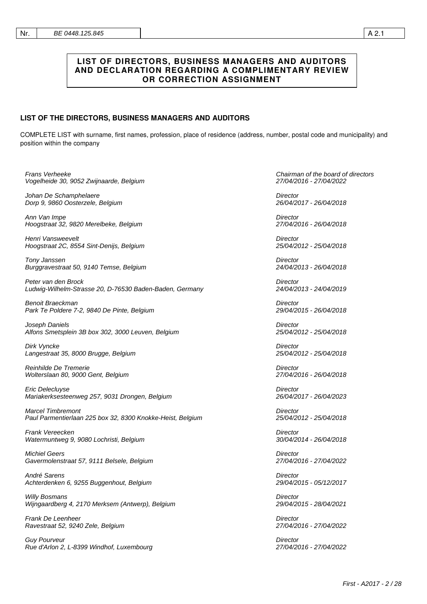# **LIST OF DIRECTORS, BUSINESS MANAGERS AND AUDITORS AND DECLARATION REGARDING A COMPLIMENTARY REVIEW OR CORRECTION ASSIGNMENT**

### **LIST OF THE DIRECTORS, BUSINESS MANAGERS AND AUDITORS**

COMPLETE LIST with surname, first names, profession, place of residence (address, number, postal code and municipality) and position within the company

| Frans Verheeke                                             | Chairman of the board of directors |
|------------------------------------------------------------|------------------------------------|
| Vogelheide 30, 9052 Zwijnaarde, Belgium                    | 27/04/2016 - 27/04/2022            |
| Johan De Schamphelaere                                     | Director                           |
| Dorp 9, 9860 Oosterzele, Belgium                           | 26/04/2017 - 26/04/2018            |
| Ann Van Impe                                               | Director                           |
| Hoogstraat 32, 9820 Merelbeke, Belgium                     | 27/04/2016 - 26/04/2018            |
| Henri Vansweevelt                                          | Director                           |
| Hoogstraat 2C, 8554 Sint-Denijs, Belgium                   | 25/04/2012 - 25/04/2018            |
| Tony Janssen                                               | Director                           |
| Burggravestraat 50, 9140 Temse, Belgium                    | 24/04/2013 - 26/04/2018            |
| Peter van den Brock                                        | Director                           |
| Ludwig-Wilhelm-Strasse 20, D-76530 Baden-Baden, Germany    | 24/04/2013 - 24/04/2019            |
| Benoit Braeckman                                           | Director                           |
| Park Te Poldere 7-2, 9840 De Pinte, Belgium                | 29/04/2015 - 26/04/2018            |
| Joseph Daniels                                             | Director                           |
| Alfons Smetsplein 3B box 302, 3000 Leuven, Belgium         | 25/04/2012 - 25/04/2018            |
| Dirk Vyncke                                                | Director                           |
| Langestraat 35, 8000 Brugge, Belgium                       | 25/04/2012 - 25/04/2018            |
| Reinhilde De Tremerie                                      | Director                           |
| Wolterslaan 80, 9000 Gent, Belgium                         | 27/04/2016 - 26/04/2018            |
| Eric Delecluyse                                            | Director                           |
| Mariakerksesteenweg 257, 9031 Drongen, Belgium             | 26/04/2017 - 26/04/2023            |
| <b>Marcel Timbremont</b>                                   | Director                           |
| Paul Parmentierlaan 225 box 32, 8300 Knokke-Heist, Belgium | 25/04/2012 - 25/04/2018            |
| Frank Vereecken                                            | Director                           |
| Watermuntweg 9, 9080 Lochristi, Belgium                    | 30/04/2014 - 26/04/2018            |
| <b>Michiel Geers</b>                                       | Director                           |
| Gavermolenstraat 57, 9111 Belsele, Belgium                 | 27/04/2016 - 27/04/2022            |
| André Sarens                                               | Director                           |
| Achterdenken 6, 9255 Buggenhout, Belgium                   | 29/04/2015 - 05/12/2017            |
| <b>Willy Bosmans</b>                                       | Director                           |
| Wijngaardberg 4, 2170 Merksem (Antwerp), Belgium           | 29/04/2015 - 28/04/2021            |
| Frank De Leenheer                                          | Director                           |
| Ravestraat 52, 9240 Zele, Belgium                          | 27/04/2016 - 27/04/2022            |
| <b>Guy Pourveur</b>                                        | Director                           |
| Rue d'Arlon 2, L-8399 Windhof, Luxembourg                  | 27/04/2016 - 27/04/2022            |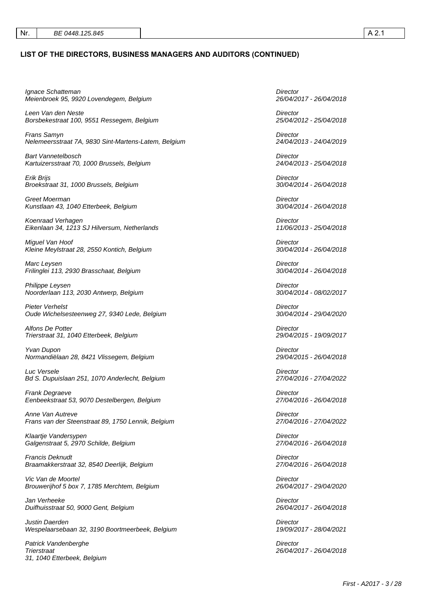**Trierstraat** 

31, 1040 Etterbeek, Belgium

### **LIST OF THE DIRECTORS, BUSINESS MANAGERS AND AUDITORS (CONTINUED)**

Ignace Schatteman Meienbroek 95, 9920 Lovendegem, Belgium **Director** 26/04/2017 - 26/04/2018 Leen Van den Neste Borsbekestraat 100, 9551 Ressegem, Belgium **Director** 25/04/2012 - 25/04/2018 Frans Samyn Nelemeersstraat 7A, 9830 Sint-Martens-Latem, Belgium **Director** 24/04/2013 - 24/04/2019 Bart Vannetelbosch Kartuizersstraat 70, 1000 Brussels, Belgium **Director** 24/04/2013 - 25/04/2018 Erik Brijs Broekstraat 31, 1000 Brussels, Belgium **Director** 30/04/2014 - 26/04/2018 Greet Moerman Kunstlaan 43, 1040 Etterbeek, Belgium **Director** 30/04/2014 - 26/04/2018 Koenraad Verhagen Eikenlaan 34, 1213 SJ Hilversum, Netherlands **Director** 11/06/2013 - 25/04/2018 Miguel Van Hoof Kleine Meylstraat 28, 2550 Kontich, Belgium Director 30/04/2014 - 26/04/2018 Marc Leysen Frilinglei 113, 2930 Brasschaat, Belgium **Director** 30/04/2014 - 26/04/2018 Philippe Leysen Noorderlaan 113, 2030 Antwerp, Belgium **Director** 30/04/2014 - 08/02/2017 Pieter Verhelst Oude Wichelsesteenweg 27, 9340 Lede, Belgium **Director** 30/04/2014 - 29/04/2020 Alfons De Potter Trierstraat 31, 1040 Etterbeek, Belgium **Director** 29/04/2015 - 19/09/2017 Yvan Dupon Normandiëlaan 28, 8421 Vlissegem, Belgium **Director** 29/04/2015 - 26/04/2018 Luc Versele Bd S. Dupuislaan 251, 1070 Anderlecht, Belgium **Director** 27/04/2016 - 27/04/2022 Frank Degraeve Eenbeekstraat 53, 9070 Destelbergen, Belgium **Director** 27/04/2016 - 26/04/2018 Anne Van Autreve Frans van der Steenstraat 89, 1750 Lennik, Belgium **Director** 27/04/2016 - 27/04/2022 Klaartje Vandersypen Galgenstraat 5, 2970 Schilde, Belgium **Director** 27/04/2016 - 26/04/2018 Francis Deknudt Braamakkerstraat 32, 8540 Deerlijk, Belgium **Director** 27/04/2016 - 26/04/2018 Vic Van de Moortel Brouwerijhof 5 box 7, 1785 Merchtem, Belgium **Director** 26/04/2017 - 29/04/2020 Jan Verheeke Duifhuisstraat 50, 9000 Gent, Belgium **Director** 26/04/2017 - 26/04/2018 Justin Daerden Wespelaarsebaan 32, 3190 Boortmeerbeek, Belgium **Director** 19/09/2017 - 28/04/2021 Patrick Vandenberghe

**Director** 26/04/2017 - 26/04/2018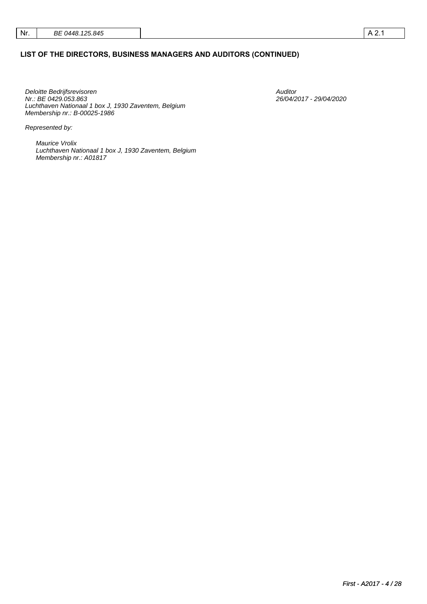## **LIST OF THE DIRECTORS, BUSINESS MANAGERS AND AUDITORS (CONTINUED)**

Deloitte Bedrijfsrevisoren Nr.: BE 0429.053.863 Luchthaven Nationaal 1 box J, 1930 Zaventem, Belgium Membership nr.: B-00025-1986

Auditor 26/04/2017 - 29/04/2020

Represented by:

Maurice Vrolix Luchthaven Nationaal 1 box J, 1930 Zaventem, Belgium Membership nr.: A01817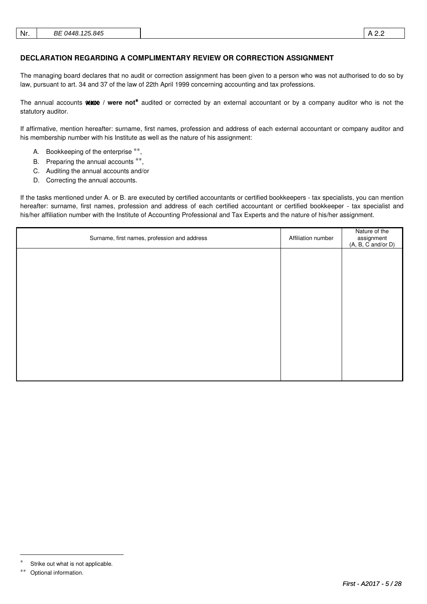### **DECLARATION REGARDING A COMPLIMENTARY REVIEW OR CORRECTION ASSIGNMENT**

The managing board declares that no audit or correction assignment has been given to a person who was not authorised to do so by law, pursuant to art. 34 and 37 of the law of 22th April 1999 concerning accounting and tax professions.

The annual accounts Wate / were not<sup>\*</sup> audited or corrected by an external accountant or by a company auditor who is not the statutory auditor.

If affirmative, mention hereafter: surname, first names, profession and address of each external accountant or company auditor and his membership number with his Institute as well as the nature of his assignment:

- A. Bookkeeping of the enterprise \*\*,
- B. Preparing the annual accounts \*\*,
- C. Auditing the annual accounts and/or
- D. Correcting the annual accounts.

If the tasks mentioned under A. or B. are executed by certified accountants or certified bookkeepers - tax specialists, you can mention hereafter: surname, first names, profession and address of each certified accountant or certified bookkeeper - tax specialist and his/her affiliation number with the Institute of Accounting Professional and Tax Experts and the nature of his/her assignment.

| Surname, first names, profession and address | Affiliation number | Nature of the<br>assignment<br>(A, B, C and/or D) |
|----------------------------------------------|--------------------|---------------------------------------------------|
|                                              |                    |                                                   |
|                                              |                    |                                                   |
|                                              |                    |                                                   |
|                                              |                    |                                                   |
|                                              |                    |                                                   |
|                                              |                    |                                                   |
|                                              |                    |                                                   |

-

Strike out what is not applicable.

<sup>∗∗</sup> Optional information.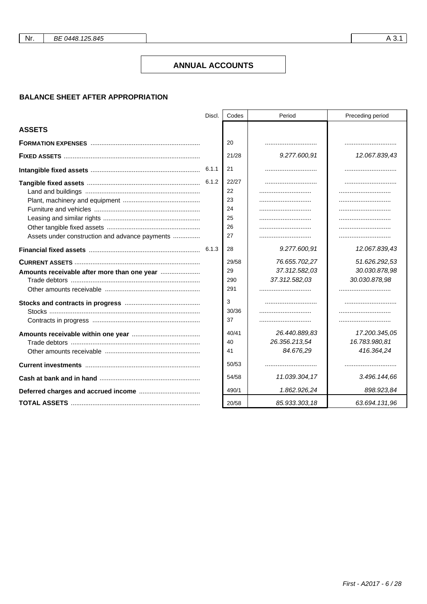Nr.

### **ANNUAL ACCOUNTS**

### **BALANCE SHEET AFTER APPROPRIATION**

|                                                                                               | Discl. | Codes                                                          | Period                                         | Preceding period                                |
|-----------------------------------------------------------------------------------------------|--------|----------------------------------------------------------------|------------------------------------------------|-------------------------------------------------|
| <b>ASSETS</b>                                                                                 |        |                                                                |                                                |                                                 |
|                                                                                               |        | 20                                                             |                                                |                                                 |
|                                                                                               |        | 21/28                                                          | 9.277.600,91                                   | 12.067.839,43                                   |
|                                                                                               |        | 21                                                             |                                                |                                                 |
| Assets under construction and advance payments<br>Amounts receivable after more than one year |        | 22/27<br>22<br>23<br>24<br>25<br>26<br>27<br>28<br>29/58<br>29 | 9.277.600,91<br>76.655.702,27<br>37.312.582,03 | 12.067.839,43<br>51.626.292,53<br>30.030.878,98 |
|                                                                                               |        | 290<br>291                                                     | 37.312.582,03                                  | 30.030.878,98                                   |
|                                                                                               |        | 3<br>30/36<br>37                                               |                                                |                                                 |
|                                                                                               |        | 40/41<br>40<br>41                                              | 26.440.889,83<br>26.356.213,54<br>84.676,29    | 17.200.345,05<br>16.783.980,81<br>416.364,24    |
|                                                                                               |        | 50/53                                                          |                                                |                                                 |
|                                                                                               |        | 54/58                                                          | 11.039.304,17                                  | 3.496.144,66                                    |
|                                                                                               |        | 490/1                                                          | 1.862.926.24                                   | 898.923,84                                      |
|                                                                                               |        | 20/58                                                          | 85.933.303,18                                  | 63.694.131,96                                   |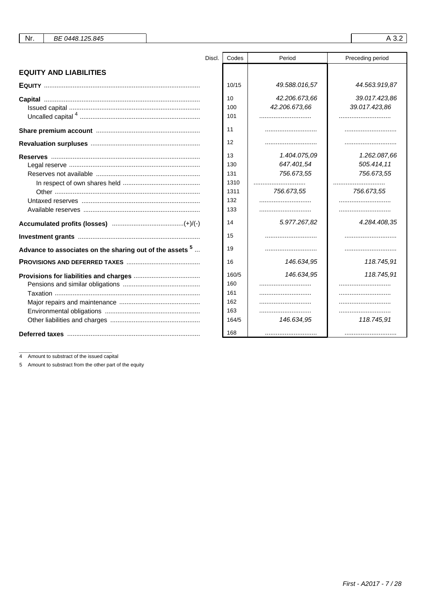| Nr. | BE 0448.125.845 |
|-----|-----------------|
|-----|-----------------|

|                                                            | Discl. | Codes | Period        | Preceding period |
|------------------------------------------------------------|--------|-------|---------------|------------------|
| <b>EQUITY AND LIABILITIES</b>                              |        |       |               |                  |
|                                                            |        | 10/15 | 49.588.016,57 | 44.563.919,87    |
|                                                            |        | 10    | 42.206.673,66 | 39.017.423,86    |
|                                                            |        | 100   | 42.206.673,66 | 39.017.423,86    |
|                                                            |        | 101   |               |                  |
|                                                            |        | 11    |               |                  |
|                                                            |        | 12    |               |                  |
|                                                            |        | 13    | 1.404.075.09  | 1.262.087.66     |
|                                                            |        | 130   | 647.401,54    | 505.414,11       |
|                                                            |        | 131   | 756.673,55    | 756.673,55       |
|                                                            |        | 1310  |               |                  |
|                                                            |        | 1311  | 756.673,55    | 756.673,55       |
|                                                            |        | 132   |               |                  |
|                                                            |        | 133   |               |                  |
|                                                            |        | 14    | 5.977.267,82  | 4.284.408,35     |
|                                                            |        | 15    |               |                  |
| Advance to associates on the sharing out of the assets $5$ |        | 19    |               |                  |
|                                                            |        | 16    | 146.634,95    | 118.745,91       |
|                                                            |        | 160/5 | 146.634,95    | 118.745,91       |
|                                                            |        | 160   |               |                  |
|                                                            |        | 161   |               |                  |
|                                                            |        | 162   |               |                  |
|                                                            |        | 163   |               |                  |
|                                                            |        | 164/5 | 146.634,95    | 118.745,91       |
|                                                            |        | 168   |               |                  |

 $\overline{4}$ Amount to substract of the issued capital

5 Amount to substract from the other part of the equity

A 3.2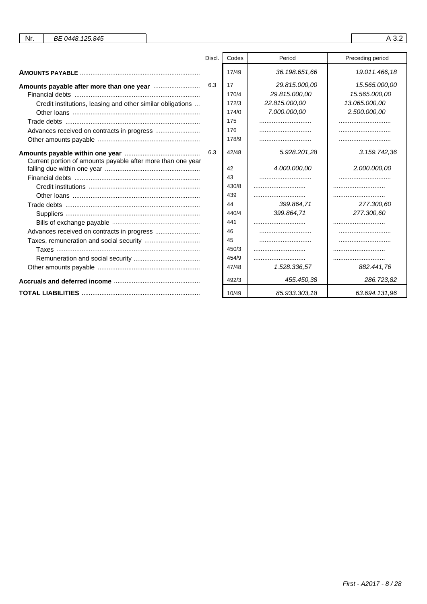| Nr.<br>BE 0448.125.845                                                                                 |        |                                                                              |                                                                 | A 3.2                                                           |
|--------------------------------------------------------------------------------------------------------|--------|------------------------------------------------------------------------------|-----------------------------------------------------------------|-----------------------------------------------------------------|
|                                                                                                        | Discl. | Codes                                                                        | Period                                                          | Preceding period                                                |
|                                                                                                        |        | 17/49                                                                        | 36.198.651,66                                                   | 19.011.466,18                                                   |
| Credit institutions, leasing and other similar obligations                                             | 6.3    | 17<br>170/4<br>172/3<br>174/0<br>175<br>176<br>178/9                         | 29.815.000,00<br>29.815.000,00<br>22.815.000,00<br>7.000.000,00 | 15.565.000,00<br>15.565.000,00<br>13.065.000,00<br>2.500.000,00 |
| Current portion of amounts payable after more than one year<br>Taxes, remuneration and social security | 6.3    | 42/48<br>42<br>43<br>430/8<br>439<br>44<br>440/4<br>441<br>46<br>45<br>450/3 | 5.928.201,28<br>4.000.000,00<br>399.864.71<br>399.864.71        | 3.159.742,36<br>2.000.000,00<br>277.300.60<br>277.300,60        |
|                                                                                                        |        | 454/9<br>47/48                                                               | 1.528.336,57                                                    | 882.441,76                                                      |
|                                                                                                        |        | 492/3                                                                        | 455.450,38                                                      | 286.723,82                                                      |
|                                                                                                        |        | 10/49                                                                        | 85.933.303,18                                                   | 63.694.131,96                                                   |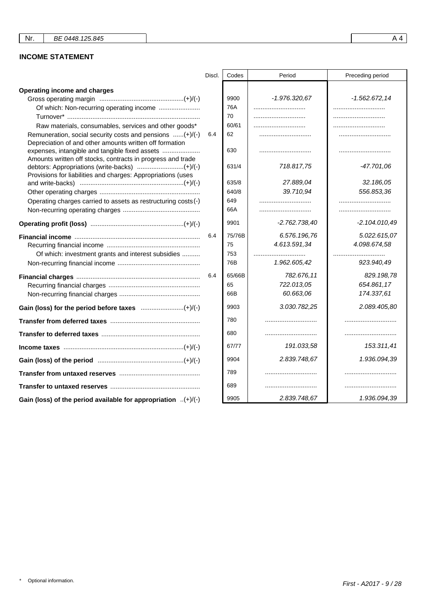# **INCOME STATEMENT**

|                                                                                                                     | Discl. | Codes  | Period          | Preceding period |
|---------------------------------------------------------------------------------------------------------------------|--------|--------|-----------------|------------------|
| Operating income and charges                                                                                        |        |        |                 |                  |
|                                                                                                                     |        | 9900   | $-1.976.320,67$ | $-1.562.672, 14$ |
| Of which: Non-recurring operating income                                                                            |        | 76A    |                 |                  |
|                                                                                                                     |        | 70     |                 |                  |
| Raw materials, consumables, services and other goods*                                                               |        | 60/61  |                 |                  |
| Remuneration, social security costs and pensions (+)/(-)<br>Depreciation of and other amounts written off formation | 6.4    | 62     |                 |                  |
| expenses, intangible and tangible fixed assets<br>Amounts written off stocks, contracts in progress and trade       |        | 630    |                 |                  |
| Provisions for liabilities and charges: Appropriations (uses                                                        |        | 631/4  | 718.817,75      | -47.701.06       |
|                                                                                                                     |        | 635/8  | 27.889,04       | 32.186,05        |
|                                                                                                                     |        | 640/8  | 39.710,94       | 556.853,36       |
| Operating charges carried to assets as restructuring costs (-)                                                      |        | 649    |                 |                  |
|                                                                                                                     |        | 66A    |                 |                  |
|                                                                                                                     |        | 9901   | $-2.762.738.40$ | $-2.104.010.49$  |
|                                                                                                                     | 6.4    | 75/76B | 6.576.196,76    | 5.022.615,07     |
|                                                                                                                     |        | 75     | 4.613.591,34    | 4.098.674,58     |
| Of which: investment grants and interest subsidies                                                                  |        | 753    |                 |                  |
|                                                                                                                     |        | 76B    | 1.962.605,42    | 923.940,49       |
|                                                                                                                     | 6.4    | 65/66B | 782.676,11      | 829.198,78       |
|                                                                                                                     |        | 65     | 722.013,05      | 654.861,17       |
|                                                                                                                     |        | 66B    | 60.663,06       | 174.337,61       |
|                                                                                                                     |        | 9903   | 3.030.782.25    | 2.089.405,80     |
|                                                                                                                     |        | 780    |                 |                  |
|                                                                                                                     |        | 680    |                 |                  |
|                                                                                                                     |        | 67/77  | 191.033,58      | 153.311,41       |
|                                                                                                                     |        | 9904   | 2.839.748,67    | 1.936.094,39     |
|                                                                                                                     |        | 789    |                 |                  |
|                                                                                                                     |        | 689    |                 |                  |
| Gain (loss) of the period available for appropriation $(+)/(-)$                                                     |        | 9905   | 2.839.748,67    | 1.936.094,39     |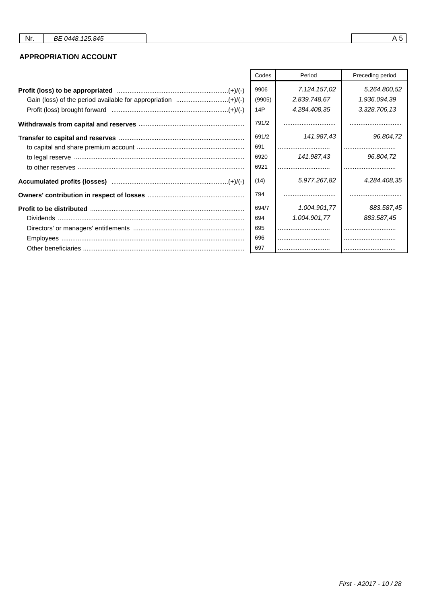## **APPROPRIATION ACCOUNT**

| Codes                 | Period                                       | Preceding period                             |
|-----------------------|----------------------------------------------|----------------------------------------------|
| 9906<br>(9905)<br>14P | 7.124.157.02<br>2.839.748,67<br>4.284.408,35 | 5.264.800,52<br>1.936.094,39<br>3.328.706,13 |
| 791/2                 |                                              |                                              |
| 691/2<br>691          | 141.987.43                                   | 96.804,72                                    |
| 6920<br>6921          | 141.987,43<br>                               | 96.804,72                                    |
| (14)                  | 5.977.267,82                                 | 4.284.408,35                                 |
| 794                   |                                              |                                              |
| 694/7                 | 1.004.901.77                                 | 883.587,45                                   |
| 694                   | 1.004.901,77                                 | 883.587,45                                   |
| 695                   |                                              |                                              |
| 696                   |                                              |                                              |
| 697                   |                                              |                                              |

 $A5$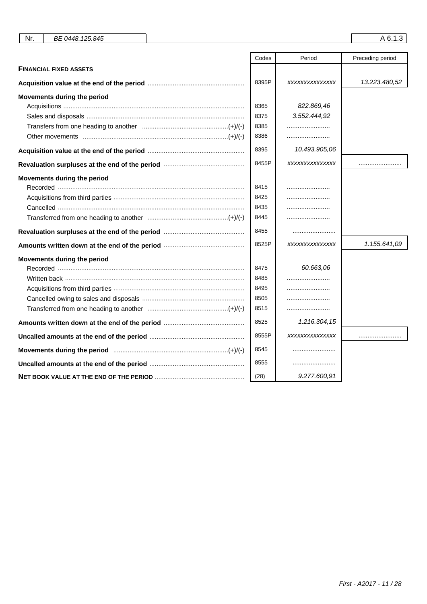| Nr.<br>BE 0448.125.845        |       |                | A 6.1.3          |
|-------------------------------|-------|----------------|------------------|
|                               | Codes | Period         | Preceding period |
| <b>FINANCIAL FIXED ASSETS</b> |       |                |                  |
|                               | 8395P | XXXXXXXXXXXXXX | 13.223.480,52    |
| Movements during the period   |       |                |                  |
|                               | 8365  | 822.869,46     |                  |
|                               | 8375  | 3.552.444,92   |                  |
|                               | 8385  |                |                  |
|                               | 8386  |                |                  |
|                               | 8395  | 10.493.905,06  |                  |
|                               | 8455P | XXXXXXXXXXXXXX |                  |
| Movements during the period   |       |                |                  |
|                               | 8415  |                |                  |
|                               | 8425  |                |                  |
|                               | 8435  |                |                  |
|                               | 8445  |                |                  |
|                               | 8455  |                |                  |
|                               | 8525P | XXXXXXXXXXXXXX | 1.155.641,09     |
| Movements during the period   |       |                |                  |
|                               | 8475  | 60.663,06      |                  |
|                               | 8485  |                |                  |
|                               | 8495  |                |                  |
|                               | 8505  |                |                  |
|                               | 8515  |                |                  |
|                               | 8525  | 1.216.304,15   |                  |
|                               | 8555P | XXXXXXXXXXXXXX |                  |
|                               | 8545  |                |                  |
|                               | 8555  |                |                  |
|                               | (28)  | 9.277.600,91   |                  |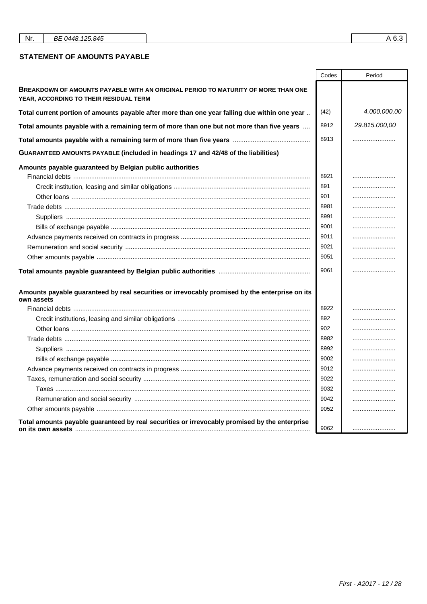| Nr. | BE 0448.125.845 |
|-----|-----------------|
|-----|-----------------|

### **STATEMENT OF AMOUNTS PAYABLE**

|                                                                                                                             | Codes       | Period        |
|-----------------------------------------------------------------------------------------------------------------------------|-------------|---------------|
| BREAKDOWN OF AMOUNTS PAYABLE WITH AN ORIGINAL PERIOD TO MATURITY OF MORE THAN ONE<br>YEAR, ACCORDING TO THEIR RESIDUAL TERM |             |               |
| Total current portion of amounts payable after more than one year falling due within one year                               | (42)        | 4.000.000,00  |
| Total amounts payable with a remaining term of more than one but not more than five years                                   | 8912        | 29.815.000,00 |
|                                                                                                                             | 8913        |               |
| GUARANTEED AMOUNTS PAYABLE (included in headings 17 and 42/48 of the liabilities)                                           |             |               |
| Amounts payable guaranteed by Belgian public authorities                                                                    | 8921<br>891 |               |
|                                                                                                                             | 901         |               |
|                                                                                                                             | 8981        |               |
|                                                                                                                             | 8991        |               |
|                                                                                                                             | 9001        |               |
|                                                                                                                             | 9011        |               |
|                                                                                                                             | 9021        |               |
|                                                                                                                             | 9051        |               |
|                                                                                                                             | 9061        |               |
| Amounts payable guaranteed by real securities or irrevocably promised by the enterprise on its<br>own assets                |             |               |
|                                                                                                                             | 8922        |               |
|                                                                                                                             | 892         |               |
|                                                                                                                             | 902         |               |
|                                                                                                                             | 8982        |               |
|                                                                                                                             | 8992        |               |
|                                                                                                                             | 9002        |               |
|                                                                                                                             | 9012        |               |
|                                                                                                                             | 9022        |               |
|                                                                                                                             | 9032        |               |
|                                                                                                                             | 9042        |               |
|                                                                                                                             | 9052        |               |
| Total amounts payable guaranteed by real securities or irrevocably promised by the enterprise                               | 9062        |               |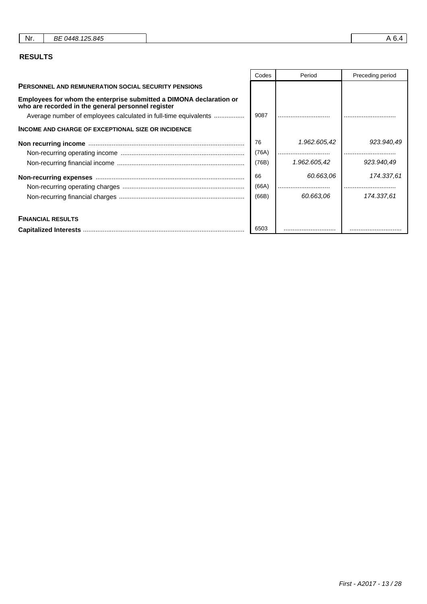| Nr.<br>BE 0448.125.845 |
|------------------------|
|------------------------|

## **RESULTS**

|                                                                                                                           | Codes | Period       | Preceding period |
|---------------------------------------------------------------------------------------------------------------------------|-------|--------------|------------------|
| <b>PERSONNEL AND REMUNERATION SOCIAL SECURITY PENSIONS</b>                                                                |       |              |                  |
| Employees for whom the enterprise submitted a DIMONA declaration or<br>who are recorded in the general personnel register |       |              |                  |
| Average number of employees calculated in full-time equivalents                                                           | 9087  |              |                  |
| <b>INCOME AND CHARGE OF EXCEPTIONAL SIZE OR INCIDENCE</b>                                                                 |       |              |                  |
|                                                                                                                           | 76    | 1.962.605,42 | 923.940,49       |
|                                                                                                                           | (76A) |              |                  |
|                                                                                                                           | (76B) | 1.962.605,42 | 923.940,49       |
|                                                                                                                           | 66    | 60.663,06    | 174.337,61       |
|                                                                                                                           | (66A) |              |                  |
|                                                                                                                           | (66B) | 60.663.06    | 174.337.61       |
| <b>FINANCIAL RESULTS</b>                                                                                                  |       |              |                  |
|                                                                                                                           | 6503  |              |                  |

 $\mathsf{r}$ 

┱

First - A2017 - 13 / 28

٦

┱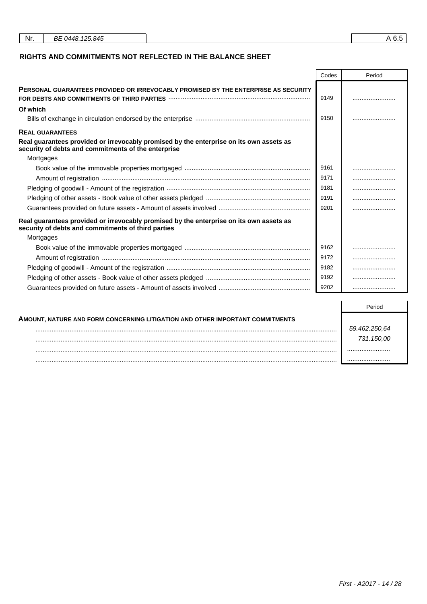| Nr. | BE 0448, 125, 845 | ິບ.ປ |
|-----|-------------------|------|
|     |                   |      |

## **RIGHTS AND COMMITMENTS NOT REFLECTED IN THE BALANCE SHEET**

|                                                                                                                                                                                  | Codes | Period |
|----------------------------------------------------------------------------------------------------------------------------------------------------------------------------------|-------|--------|
| <b>PERSONAL GUARANTEES PROVIDED OR IRREVOCABLY PROMISED BY THE ENTERPRISE AS SECURITY</b><br>FOR DEBTS AND COMMITMENTS OF THIRD PARTIES <b>With COMMITMENTS AND THE RESIDENT</b> | 9149  |        |
| Of which                                                                                                                                                                         |       |        |
|                                                                                                                                                                                  | 9150  |        |
| <b>REAL GUARANTEES</b>                                                                                                                                                           |       |        |
| Real guarantees provided or irrevocably promised by the enterprise on its own assets as<br>security of debts and commitments of the enterprise                                   |       |        |
| Mortgages                                                                                                                                                                        |       |        |
|                                                                                                                                                                                  | 9161  |        |
|                                                                                                                                                                                  | 9171  |        |
|                                                                                                                                                                                  | 9181  |        |
|                                                                                                                                                                                  | 9191  |        |
|                                                                                                                                                                                  | 9201  |        |
| Real guarantees provided or irrevocably promised by the enterprise on its own assets as<br>security of debts and commitments of third parties                                    |       |        |
| Mortgages                                                                                                                                                                        |       |        |
|                                                                                                                                                                                  | 9162  |        |
|                                                                                                                                                                                  | 9172  |        |
|                                                                                                                                                                                  | 9182  |        |
|                                                                                                                                                                                  | 9192  |        |
|                                                                                                                                                                                  | 9202  |        |

| AMOUNT, NATURE AND FORM CONCERNING LITIGATION AND OTHER IMPORTANT COMMITMENTS |               |
|-------------------------------------------------------------------------------|---------------|
|                                                                               | 59.462.250.64 |
|                                                                               | 731.150.00    |
|                                                                               |               |
|                                                                               |               |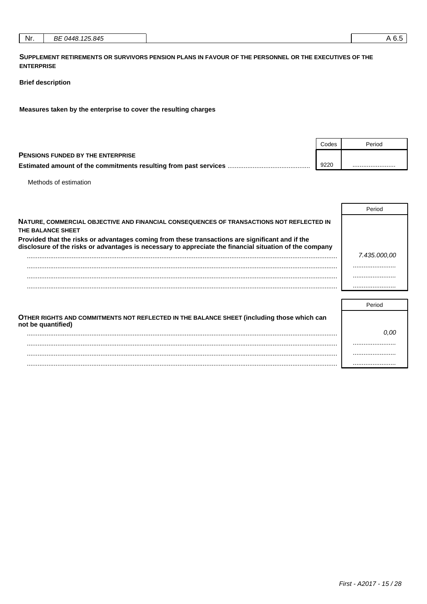|--|

SUPPLEMENT RETIREMENTS OR SURVIVORS PENSION PLANS IN FAVOUR OF THE PERSONNEL OR THE EXECUTIVES OF THE **ENTERPRISE** 

### **Brief description**

Measures taken by the enterprise to cover the resulting charges

|                                                                          | Codes | Period |
|--------------------------------------------------------------------------|-------|--------|
| <b>PENSIONS FUNDED BY THE ENTERPRISE</b>                                 |       |        |
| <b>Estimated amount of the commitments resulting from past services </b> | 9220  |        |

Methods of estimation

|                                                                                                                                                                                                            | Period       |
|------------------------------------------------------------------------------------------------------------------------------------------------------------------------------------------------------------|--------------|
| NATURE, COMMERCIAL OBJECTIVE AND FINANCIAL CONSEQUENCES OF TRANSACTIONS NOT REFLECTED IN<br>THE BALANCE SHEET                                                                                              |              |
| Provided that the risks or advantages coming from these transactions are significant and if the<br>disclosure of the risks or advantages is necessary to appreciate the financial situation of the company |              |
|                                                                                                                                                                                                            | 7.435.000.00 |
|                                                                                                                                                                                                            |              |
|                                                                                                                                                                                                            |              |
|                                                                                                                                                                                                            |              |
|                                                                                                                                                                                                            | Period       |
| OTHER DICHTS AND COMMITMENTS NOT BEELECTED IN THE BALANCE SHEET (including those which can                                                                                                                 |              |

| OTHER RIGHTS AND COMMITMENTS NOT REFLECTED IN THE BALANCE SHEET (INCIUDING those Which can<br>not be quantified) |      |
|------------------------------------------------------------------------------------------------------------------|------|
|                                                                                                                  | 0.00 |
|                                                                                                                  |      |
|                                                                                                                  |      |
|                                                                                                                  |      |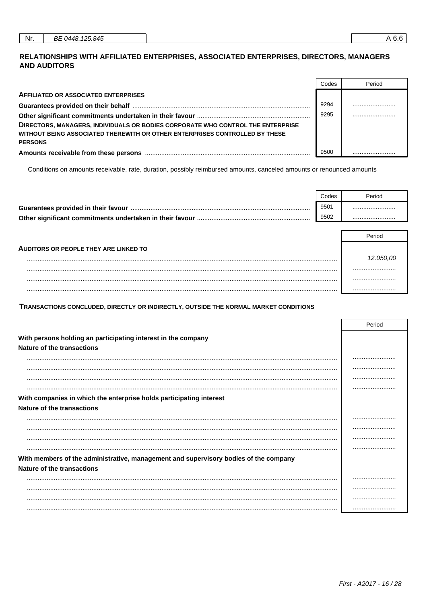## RELATIONSHIPS WITH AFFILIATED ENTERPRISES, ASSOCIATED ENTERPRISES, DIRECTORS, MANAGERS **AND AUDITORS**

|                                                                                 | Codes | Period |
|---------------------------------------------------------------------------------|-------|--------|
| <b>AFFILIATED OR ASSOCIATED ENTERPRISES</b>                                     |       |        |
|                                                                                 | 9294  |        |
|                                                                                 | 9295  |        |
| DIRECTORS, MANAGERS, INDIVIDUALS OR BODIES CORPORATE WHO CONTROL THE ENTERPRISE |       |        |
| WITHOUT BEING ASSOCIATED THEREWITH OR OTHER ENTERPRISES CONTROLLED BY THESE     |       |        |
| <b>PERSONS</b>                                                                  |       |        |
|                                                                                 | 9500  |        |

Conditions on amounts receivable, rate, duration, possibly reimbursed amounts, canceled amounts or renounced amounts

|                                                          | Codes | Period |
|----------------------------------------------------------|-------|--------|
| Guarantees provided in their favour                      | 9501  |        |
| Other significant commitments undertaken in their favour | 9502  |        |

|                                              | Period |
|----------------------------------------------|--------|
| <b>AUDITORS OR PEOPLE THEY ARE LINKED TO</b> |        |
|                                              |        |
|                                              |        |
|                                              |        |
|                                              |        |

TRANSACTIONS CONCLUDED, DIRECTLY OR INDIRECTLY, OUTSIDE THE NORMAL MARKET CONDITIONS

|                                                                                      | Period |
|--------------------------------------------------------------------------------------|--------|
| With persons holding an participating interest in the company                        |        |
| <b>Nature of the transactions</b>                                                    |        |
|                                                                                      |        |
|                                                                                      |        |
|                                                                                      |        |
|                                                                                      |        |
| With companies in which the enterprise holds participating interest                  |        |
| Nature of the transactions                                                           |        |
|                                                                                      |        |
|                                                                                      |        |
|                                                                                      |        |
|                                                                                      |        |
| With members of the administrative, management and supervisory bodies of the company |        |
| Nature of the transactions                                                           |        |
|                                                                                      |        |
|                                                                                      |        |
|                                                                                      |        |
|                                                                                      |        |

┑

 $\Gamma$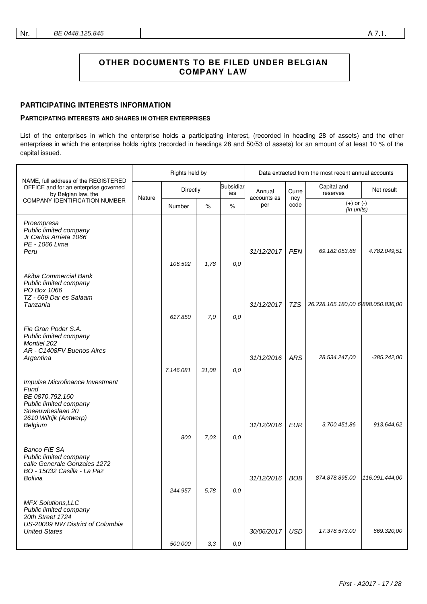### **PARTICIPATING INTERESTS INFORMATION**

### **PARTICIPATING INTERESTS AND SHARES IN OTHER ENTERPRISES**

List of the enterprises in which the enterprise holds a participating interest, (recorded in heading 28 of assets) and the other enterprises in which the enterprise holds rights (recorded in headings 28 and 50/53 of assets) for an amount of at least 10 % of the capital issued.

|                                                                                                                                               | Rights held by |                    |             |                  | Data extracted from the most recent annual accounts |             |                                    |                |
|-----------------------------------------------------------------------------------------------------------------------------------------------|----------------|--------------------|-------------|------------------|-----------------------------------------------------|-------------|------------------------------------|----------------|
| NAME, full address of the REGISTERED<br>OFFICE and for an enterprise governed<br>by Belgian law, the<br><b>COMPANY IDENTIFICATION NUMBER</b>  |                | Directly           |             | Subsidiar<br>ies | Annual                                              | Curre       | Capital and<br>reserves            | Net result     |
|                                                                                                                                               | Nature         | Number             | $\%$        | $\%$             | accounts as<br>per                                  | ncy<br>code | $(+)$ or $(-)$<br>(in units)       |                |
| Proempresa<br>Public limited company<br>Jr Carlos Arrieta 1066<br>PE - 1066 Lima<br>Peru                                                      |                | 106.592            | 1,78        | 0,0              | 31/12/2017                                          | <b>PEN</b>  | 69.182.053,68                      | 4.782.049,51   |
| Akiba Commercial Bank<br>Public limited company<br>PO Box 1066<br>TZ - 669 Dar es Salaam<br>Tanzania                                          |                | 617.850            | 7,0         | 0,0              | 31/12/2017                                          | TZS         | 26.228.165.180,00 6 898.050.836,00 |                |
| Fie Gran Poder S.A.<br>Public limited company<br><b>Montiel 202</b><br>AR - C1408FV Buenos Aires<br>Argentina                                 |                | 7.146.081          | 31,08       | 0,0              | 31/12/2016                                          | <b>ARS</b>  | 28.534.247,00                      | $-385.242,00$  |
| Impulse Microfinance Investment<br>Fund<br>BE 0870.792.160<br>Public limited company<br>Sneeuwbeslaan 20<br>2610 Wilrijk (Antwerp)<br>Belgium |                |                    |             |                  | 31/12/2016                                          | <b>EUR</b>  | 3.700.451,86                       | 913.644,62     |
| <b>Banco FIE SA</b><br>Public limited company<br>calle Generale Gonzales 1272<br>BO - 15032 Casilla - La Paz<br>Bolivia                       |                | 800                | 7,03        | 0,0              | 31/12/2016                                          | <b>BOB</b>  | 874.878.895,00                     | 116.091.444,00 |
| <b>MFX Solutions, LLC</b><br>Public limited company<br>20th Street 1724<br>US-20009 NW District of Columbia<br><b>United States</b>           |                | 244.957<br>500.000 | 5,78<br>3,3 | 0,0<br>0,0       | 30/06/2017                                          | <b>USD</b>  | 17.378.573,00                      | 669.320,00     |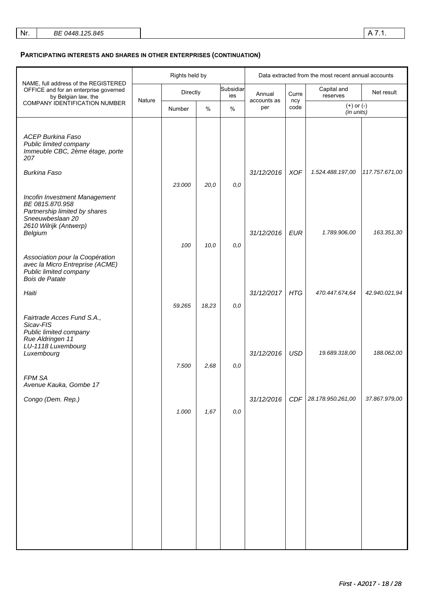## **PARTICIPATING INTERESTS AND SHARES IN OTHER ENTERPRISES (CONTINUATION)**

|                                                                                                                                 |        | Rights held by |       |                  |                    |                      | Data extracted from the most recent annual accounts |                |                         |            |
|---------------------------------------------------------------------------------------------------------------------------------|--------|----------------|-------|------------------|--------------------|----------------------|-----------------------------------------------------|----------------|-------------------------|------------|
| NAME, full address of the REGISTERED<br>OFFICE and for an enterprise governed<br>by Belgian law, the                            |        | Directly       |       | Subsidiar<br>ies | Annual             | Curre<br>ncy<br>code |                                                     |                | Capital and<br>reserves | Net result |
| COMPANY IDENTIFICATION NUMBER                                                                                                   | Nature | Number         | $\%$  | $\%$             | accounts as<br>per |                      | $(+)$ or $(-)$<br>(in units)                        |                |                         |            |
| <b>ACEP Burkina Faso</b><br>Public limited company<br>Immeuble CBC, 2ème étage, porte<br>207                                    |        |                |       |                  |                    |                      |                                                     |                |                         |            |
| <b>Burkina Faso</b>                                                                                                             |        | 23.000         | 20,0  | 0,0              | 31/12/2016         | <b>XOF</b>           | 1.524.488.197,00                                    | 117.757.671,00 |                         |            |
| Incofin Investment Management<br>BE 0815.870.958<br>Partnership limited by shares<br>Sneeuwbeslaan 20<br>2610 Wilrijk (Antwerp) |        |                |       |                  |                    |                      |                                                     |                |                         |            |
| Belgium                                                                                                                         |        | 100            | 10,0  | 0,0              | 31/12/2016         | <b>EUR</b>           | 1.789.906,00                                        | 163.351,30     |                         |            |
| Association pour la Coopération<br>avec la Micro Entreprise (ACME)<br>Public limited company<br>Bois de Patate                  |        |                |       |                  |                    |                      |                                                     |                |                         |            |
| Haiti                                                                                                                           |        | 59.265         | 18,23 | 0,0              | 31/12/2017         | <b>HTG</b>           | 470.447.674,64                                      | 42.940.021,94  |                         |            |
| Fairtrade Acces Fund S.A.,<br>Sicav-FIS<br>Public limited company<br>Rue Aldringen 11<br>LU-1118 Luxembourg<br>Luxembourg       |        | 7.500          | 2,68  | $0,0$            | 31/12/2016         | <b>USD</b>           | 19.689.318,00                                       | 188.062,00     |                         |            |
| FPM SA<br>Avenue Kauka, Gombe 17                                                                                                |        |                |       |                  |                    |                      |                                                     |                |                         |            |
| Congo (Dem. Rep.)                                                                                                               |        | 1.000          | 1,67  | 0,0              | 31/12/2016         |                      | CDF 28.178.950.261,00                               | 37.867.979,00  |                         |            |
|                                                                                                                                 |        |                |       |                  |                    |                      |                                                     |                |                         |            |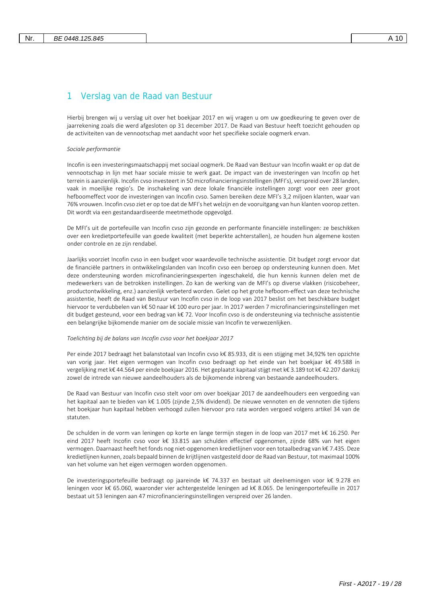# 1 Verslag van de Raad van Bestuur

Hierbij brengen wij u verslag uit over het boekjaar 2017 en wij vragen u om uw goedkeuring te geven over de jaarrekening zoals die werd afgesloten op 31 december 2017. De Raad van Bestuur heeft toezicht gehouden op de activiteiten van de vennootschap met aandacht voor het specifieke sociale oogmerk ervan.

*Sociale performantie*

Incofin is een investeringsmaatschappij met sociaal oogmerk. De Raad van Bestuur van Incofin waakt er op dat de vennootschap in lijn met haar sociale missie te werk gaat. De impact van de investeringen van Incofin op het terrein is aanzienlijk. Incofin cvso investeert in 50 microfinancieringsinstellingen (MFI's), verspreid over 28 landen, vaak in moeilijke regio's. De inschakeling van deze lokale financiële instellingen zorgt voor een zeer groot hefboomeffect voor de investeringen van Incofin cvso. Samen bereiken deze MFI's 3,2 miljoen klanten, waar van 76% vrouwen. Incofin cvso ziet er op toe dat de MFI's het welzijn en de vooruitgang van hun klanten voorop zetten. Dit wordt via een gestandaardiseerde meetmethode opgevolgd.

De MFI's uit de portefeuille van Incofin cvso zijn gezonde en performante financiële instellingen: ze beschikken over een kredietportefeuille van goede kwaliteit (met beperkte achterstallen), ze houden hun algemene kosten onder controle en ze zijn rendabel.

Jaarlijks voorziet Incofin cvso in een budget voor waardevolle technische assistentie. Dit budget zorgt ervoor dat de financiële partners in ontwikkelingslanden van Incofin cvso een beroep op ondersteuning kunnen doen. Met deze ondersteuning worden microfinancieringsexperten ingeschakeld, die hun kennis kunnen delen met de medewerkers van de betrokken instellingen. Zo kan de werking van de MFI's op diverse vlakken (risicobeheer, productontwikkeling, enz.) aanzienlijk verbeterd worden. Gelet op het grote hefboom-effect van deze technische assistentie, heeft de Raad van Bestuur van Incofin cvso in de loop van 2017 beslist om het beschikbare budget hiervoor te verdubbelen van k€ 50 naar k€ 100 euro per jaar. In 2017 werden 7 microfinancieringsinstellingen met dit budget gesteund, voor een bedrag van k€ 72. Voor Incofin cvso is de ondersteuning via technische assistentie een belangrijke bijkomende manier om de sociale missie van Incofin te verwezenlijken.

#### *Toelichting bij de balans van Incofin cvso voor het boekjaar 2017*

Per einde 2017 bedraagt het balanstotaal van Incofin cvso k€ 85.933, dit is een stijging met 34,92% ten opzichte van vorig jaar. Het eigen vermogen van Incofin cvso bedraagt op het einde van het boekjaar k€ 49.588 in vergelijking met k€ 44.564 per einde boekjaar 2016. Het geplaatst kapitaal stijgt met k€ 3.189 tot k€ 42.207 dankzij zowel de intrede van nieuwe aandeelhouders als de bijkomende inbreng van bestaande aandeelhouders.

De Raad van Bestuur van Incofin cvso stelt voor om over boekjaar 2017 de aandeelhouders een vergoeding van het kapitaal aan te bieden van k€ 1.005 (zijnde 2,5% dividend). De nieuwe vennoten en de vennoten die tijdens het boekjaar hun kapitaal hebben verhoogd zullen hiervoor pro rata worden vergoed volgens artikel 34 van de statuten.

De schulden in de vorm van leningen op korte en lange termijn stegen in de loop van 2017 met k€ 16.250. Per eind 2017 heeft Incofin cvso voor k€ 33.815 aan schulden effectief opgenomen, zijnde 68% van het eigen vermogen. Daarnaast heeft het fonds nog niet-opgenomen kredietlijnen voor een totaalbedrag van k€ 7.435. Deze kredietlijnen kunnen, zoals bepaald binnen de krijtlijnen vastgesteld door de Raad van Bestuur, tot maximaal 100% van het volume van het eigen vermogen worden opgenomen.

De investeringsportefeuille bedraagt op jaareinde k€ 74.337 en bestaat uit deelnemingen voor k€ 9.278 en leningen voor k€ 65.060, waaronder vier achtergestelde leningen ad k€ 8.065. De leningenportefeuille in 2017 bestaat uit 53 leningen aan 47 microfinancieringsinstellingen verspreid over 26 landen.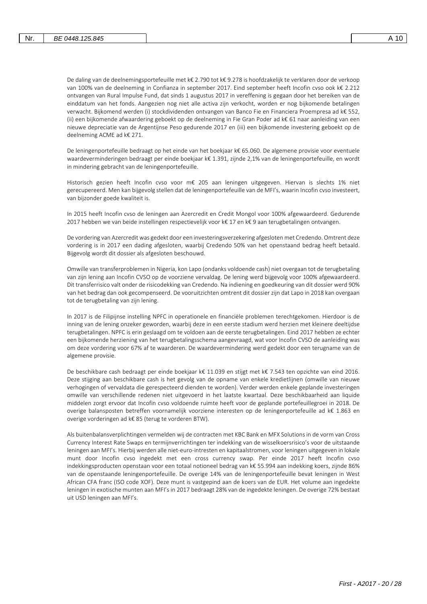De daling van de deelnemingsportefeuille met k€ 2.790 tot k€ 9.278 is hoofdzakelijk te verklaren door de verkoop van 100% van de deelneming in Confianza in september 2017. Eind september heeft Incofin cvso ook k€ 2.212 ontvangen van Rural Impulse Fund, dat sinds 1 augustus 2017 in vereffening is gegaan door het bereiken van de einddatum van het fonds. Aangezien nog niet alle activa zijn verkocht, worden er nog bijkomende betalingen verwacht. Bijkomend werden (i) stockdividenden ontvangen van Banco Fie en Financiera Proempresa ad k€ 552, (ii) een bijkomende afwaardering geboekt op de deelneming in Fie Gran Poder ad k€ 61 naar aanleiding van een nieuwe depreciatie van de Argentijnse Peso gedurende 2017 en (iii) een bijkomende investering geboekt op de deelneming ACME ad k€ 271.

De leningenportefeuille bedraagt op het einde van het boekjaar k€ 65.060. De algemene provisie voor eventuele waardeverminderingen bedraagt per einde boekjaar k€ 1.391, zijnde 2,1% van de leningenportefeuille, en wordt in mindering gebracht van de leningenportefeuille.

Historisch gezien heeft Incofin cvso voor m€ 205 aan leningen uitgegeven. Hiervan is slechts 1% niet gerecupereerd. Men kan bijgevolg stellen dat de leningenportefeuille van de MFI's, waarin Incofin cvso investeert, van bijzonder goede kwaliteit is.

In 2015 heeft Incofin cvso de leningen aan Azercredit en Credit Mongol voor 100% afgewaardeerd. Gedurende 2017 hebben we van beide instellingen respectievelijk voor k€ 17 en k€ 9 aan terugbetalingen ontvangen.

De vordering van Azercredit was gedekt door een investeringsverzekering afgesloten met Credendo. Omtrent deze vordering is in 2017 een dading afgesloten, waarbij Credendo 50% van het openstaand bedrag heeft betaald. Bijgevolg wordt dit dossier als afgesloten beschouwd.

Omwille van transferproblemen in Nigeria, kon Lapo (ondanks voldoende cash) niet overgaan tot de terugbetaling van zijn lening aan Incofin CVSO op de voorziene vervaldag. De lening werd bijgevolg voor 100% afgewaardeerd. Dit transferrisico valt onder de risicodekking van Credendo. Na indiening en goedkeuring van dit dossier werd 90% van het bedrag dan ook gecompenseerd. De vooruitzichten omtrent dit dossier zijn dat Lapo in 2018 kan overgaan tot de terugbetaling van zijn lening.

In 2017 is de Filipijnse instelling NPFC in operationele en financiële problemen terechtgekomen. Hierdoor is de inning van de lening onzeker geworden, waarbij deze in een eerste stadium werd herzien met kleinere deeltijdse terugbetalingen. NPFC is erin geslaagd om te voldoen aan de eerste terugbetalingen. Eind 2017 hebben ze echter een bijkomende herziening van het terugbetalingsschema aangevraagd, wat voor Incofin CVSO de aanleiding was om deze vordering voor 67% af te waarderen. De waardevermindering werd gedekt door een terugname van de algemene provisie.

De beschikbare cash bedraagt per einde boekjaar k€ 11.039 en stijgt met k€ 7.543 ten opzichte van eind 2016. Deze stijging aan beschikbare cash is het gevolg van de opname van enkele kredietlijnen (omwille van nieuwe verhogingen of vervaldata die gerespecteerd dienden te worden). Verder werden enkele geplande investeringen omwille van verschillende redenen niet uitgevoerd in het laatste kwartaal. Deze beschikbaarheid aan liquide middelen zorgt ervoor dat Incofin cvso voldoende ruimte heeft voor de geplande portefeuillegroei in 2018. De overige balansposten betreffen voornamelijk voorziene interesten op de leningenportefeuille ad k€ 1.863 en overige vorderingen ad k€ 85 (terug te vorderen BTW).

Als buitenbalansverplichtingen vermelden wij de contracten met KBC Bank en MFX Solutions in de vorm van Cross Currency Interest Rate Swaps en termijnverrichtingen ter indekking van de wisselkoersrisico's voor de uitstaande leningen aan MFI's. Hierbij werden alle niet-euro-intresten en kapitaalstromen, voor leningen uitgegeven in lokale munt door Incofin cvso ingedekt met een cross currency swap. Per einde 2017 heeft Incofin cvso indekkingsproducten openstaan voor een totaal notioneel bedrag van k€ 55.994 aan indekking koers, zijnde 86% van de openstaande leningenportefeuille. De overige 14% van de leningenportefeuille bevat leningen in West African CFA franc (ISO code XOF). Deze munt is vastgepind aan de koers van de EUR. Het volume aan ingedekte leningen in exotische munten aan MFI's in 2017 bedraagt 28% van de ingedekte leningen. De overige 72% bestaat uit USD leningen aan MFI's.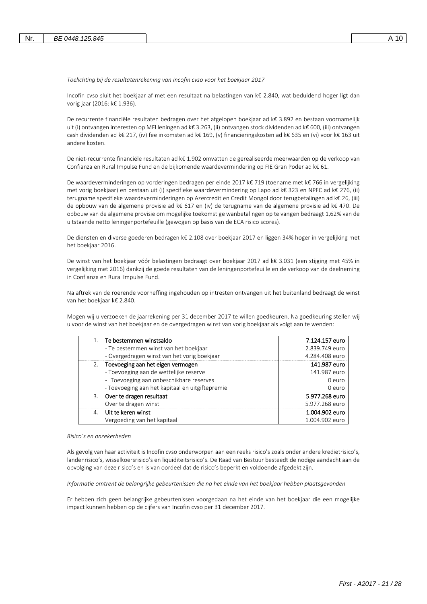*Toelichting bij de resultatenrekening van Incofin cvso voor het boekjaar 2017*

Incofin cvso sluit het boekjaar af met een resultaat na belastingen van k€ 2.840, wat beduidend hoger ligt dan vorig jaar (2016: k€ 1.936).

De recurrente financiële resultaten bedragen over het afgelopen boekjaar ad k€ 3.892 en bestaan voornamelijk uit (i) ontvangen interesten op MFI leningen ad k€ 3.263, (ii) ontvangen stock dividenden ad k€ 600, (iii) ontvangen cash dividenden ad k€ 217, (iv) fee inkomsten ad k€ 169, (v) financieringskosten ad k€ 635 en (vi) voor k€ 163 uit andere kosten.

De niet-recurrente financiële resultaten ad k€ 1.902 omvatten de gerealiseerde meerwaarden op de verkoop van Confianza en Rural Impulse Fund en de bijkomende waardevermindering op FIE Gran Poder ad k€ 61.

De waardeverminderingen op vorderingen bedragen per einde 2017 k€ 719 (toename met k€ 766 in vergelijking met vorig boekjaar) en bestaan uit (i) specifieke waardevermindering op Lapo ad k€ 323 en NPFC ad k€ 276, (ii) terugname specifieke waardeverminderingen op Azercredit en Credit Mongol door terugbetalingen ad k€ 26, (iii) de opbouw van de algemene provisie ad k€ 617 en (iv) de terugname van de algemene provisie ad k€ 470. De opbouw van de algemene provisie om mogelijke toekomstige wanbetalingen op te vangen bedraagt 1,62% van de uitstaande netto leningenportefeuille (gewogen op basis van de ECA risico scores).

De diensten en diverse goederen bedragen k€ 2.108 over boekjaar 2017 en liggen 34% hoger in vergelijking met het boekjaar 2016.

De winst van het boekjaar vóór belastingen bedraagt over boekjaar 2017 ad k€ 3.031 (een stijging met 45% in vergelijking met 2016) dankzij de goede resultaten van de leningenportefeuille en de verkoop van de deelneming in Confianza en Rural Impulse Fund.

Na aftrek van de roerende voorheffing ingehouden op intresten ontvangen uit het buitenland bedraagt de winst van het boekjaar k€ 2.840.

Mogen wij u verzoeken de jaarrekening per 31 december 2017 te willen goedkeuren. Na goedkeuring stellen wij u voor de winst van het boekjaar en de overgedragen winst van vorig boekjaar als volgt aan te wenden:

| 1. Te bestemmen winstsaldo                      | 7.124.157 euro |
|-------------------------------------------------|----------------|
| - Te bestemmen winst van het boekjaar           | 2.839.749 euro |
| - Overgedragen winst van het vorig boekjaar     | 4.284.408 euro |
| 2. Toevoeging aan het eigen vermogen            | 141.987 euro   |
| - Toevoeging aan de wettelijke reserve          | 141.987 euro   |
| - Toevoeging aan onbeschikbare reserves         | 0 euro         |
| - Toevoeging aan het kapitaal en uitgiftepremie | 0 euro         |
| 3. Over te dragen resultaat                     | 5.977.268 euro |
| Over te dragen winst                            | 5.977.268 euro |
| 4. Uit te keren winst                           | 1.004.902 euro |
| Vergoeding van het kapitaal                     | 1.004.902 euro |

#### *Risico's en onzekerheden*

Als gevolg van haar activiteit is Incofin cvso onderworpen aan een reeks risico's zoals onder andere kredietrisico's, landenrisico's, wisselkoersrisico's en liquiditeitsrisico's. De Raad van Bestuur besteedt de nodige aandacht aan de opvolging van deze risico's en is van oordeel dat de risico's beperkt en voldoende afgedekt zijn.

*Informatie omtrent de belangrijke gebeurtenissen die na het einde van het boekjaar hebben plaatsgevonden*

Er hebben zich geen belangrijke gebeurtenissen voorgedaan na het einde van het boekjaar die een mogelijke impact kunnen hebben op de cijfers van Incofin cvso per 31 december 2017.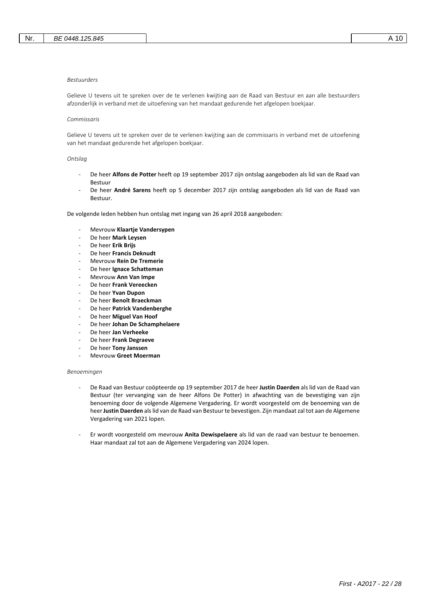#### *Bestuurders*

Gelieve U tevens uit te spreken over de te verlenen kwijting aan de Raad van Bestuur en aan alle bestuurders afzonderlijk in verband met de uitoefening van het mandaat gedurende het afgelopen boekjaar.

### *Commissaris*

Gelieve U tevens uit te spreken over de te verlenen kwijting aan de commissaris in verband met de uitoefening van het mandaat gedurende het afgelopen boekjaar.

#### *Ontslag*

- De heer **Alfons de Potter** heeft op 19 september 2017 zijn ontslag aangeboden als lid van de Raad van Bestuur
- De heer **André Sarens** heeft op 5 december 2017 zijn ontslag aangeboden als lid van de Raad van Bestuur.

De volgende leden hebben hun ontslag met ingang van 26 april 2018 aangeboden:

- Mevrouw **Klaartje Vandersypen**
- De heer **Mark Leysen**
- De heer **Erik Brijs**
- De heer **Francis Deknudt**
- Mevrouw **Rein De Tremerie**
- De heer **Ignace Schatteman**
- Mevrouw **Ann Van Impe**
- De heer **Frank Vereecken**
- De heer **Yvan Dupon**
- De heer **Benoît Braeckman**
- De heer **Patrick Vandenberghe**
- De heer Miguel Van Hoof
- De heer **Johan De Schamphelaere**
- De heer **Jan Verheeke**
- De heer **Frank Degraeve**
- De heer **Tony Janssen**
- Mevrouw **Greet Moerman**

#### *Benoemingen*

- De Raad van Bestuur coöpteerde op 19 september 2017 de heer **Justin Daerden** als lid van de Raad van Bestuur (ter vervanging van de heer Alfons De Potter) in afwachting van de bevestiging van zijn benoeming door de volgende Algemene Vergadering. Er wordt voorgesteld om de benoeming van de heer **Justin Daerden** als lid van de Raad van Bestuur te bevestigen. Zijn mandaat zal tot aan de Algemene Vergadering van 2021 lopen.
- Er wordt voorgesteld om mevrouw **Anita Dewispelaere** als lid van de raad van bestuur te benoemen. Haar mandaat zal tot aan de Algemene Vergadering van 2024 lopen.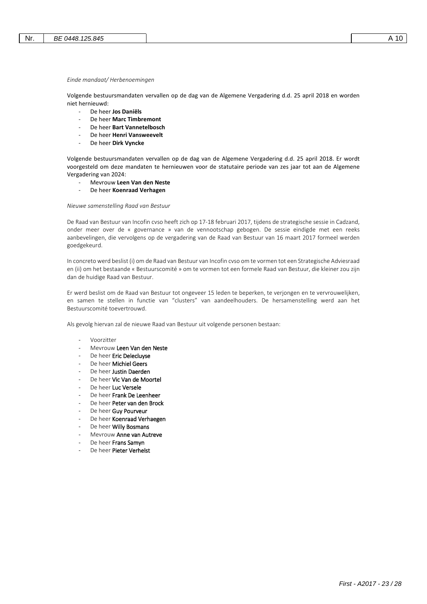#### *Einde mandaat/ Herbenoemingen*

Volgende bestuursmandaten vervallen op de dag van de Algemene Vergadering d.d. 25 april 2018 en worden niet hernieuwd:

- De heer **Jos Daniëls**
- De heer **Marc Timbremont**
- De heer **Bart Vannetelbosch**
- De heer **Henri Vansweevelt**
- De heer **Dirk Vyncke**

Volgende bestuursmandaten vervallen op de dag van de Algemene Vergadering d.d. 25 april 2018. Er wordt voorgesteld om deze mandaten te hernieuwen voor de statutaire periode van zes jaar tot aan de Algemene Vergadering van 2024:

- Mevrouw **Leen Van den Neste**
- De heer **Koenraad Verhagen**

*Nieuwe samenstelling Raad van Bestuur*

De Raad van Bestuur van Incofin cvso heeft zich op 17-18 februari 2017, tijdens de strategische sessie in Cadzand, onder meer over de « governance » van de vennootschap gebogen. De sessie eindigde met een reeks aanbevelingen, die vervolgens op de vergadering van de Raad van Bestuur van 16 maart 2017 formeel werden goedgekeurd.

In concreto werd beslist (i) om de Raad van Bestuur van Incofin cvso om te vormen tot een Strategische Adviesraad en (ii) om het bestaande « Bestuurscomité » om te vormen tot een formele Raad van Bestuur, die kleiner zou zijn dan de huidige Raad van Bestuur.

Er werd beslist om de Raad van Bestuur tot ongeveer 15 leden te beperken, te verjongen en te vervrouwelijken, en samen te stellen in functie van "clusters" van aandeelhouders. De hersamenstelling werd aan het Bestuurscomité toevertrouwd.

Als gevolg hiervan zal de nieuwe Raad van Bestuur uit volgende personen bestaan:

- Voorzitter
- Mevrouw Leen Van den Neste
- De heer Eric Delecluyse
- De heer Michiel Geers
- De heer Justin Daerden
- De heer Vic Van de Moortel
- De heer Luc Versele
- De heer Frank De Leenheer
- De heer Peter van den Brock
- De heer Guy Pourveur
- De heer Koenraad Verhaegen
- De heer Willy Bosmans
- Mevrouw Anne van Autreve
- De heer Frans Samyn
- De heer Pieter Verhelst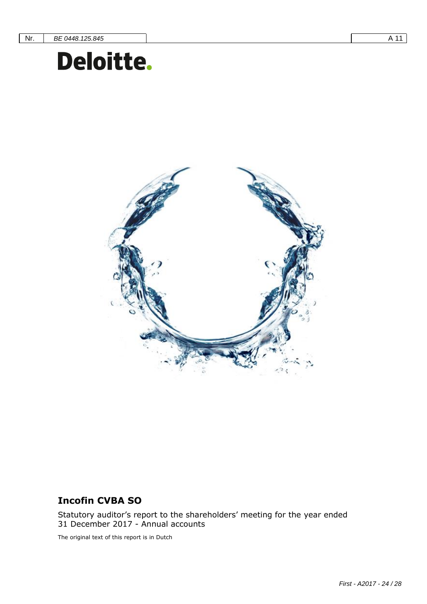# **Incofin CVBA SO** Document subtitle= Verdana Heading 12 0/0 single



# **Incofin CVBA SO**

Statutory auditor's report to the shareholders' meeting for the year ended 31 December 2017 - Annual accounts

The original text of this report is in Dutch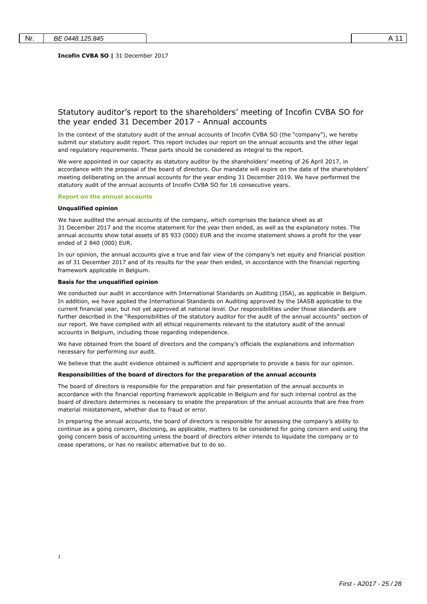### Statutory auditor's report to the shareholders' meeting of Incofin CVBA SO for the year ended 31 December 2017 - Annual accounts

In the context of the statutory audit of the annual accounts of Incofin CVBA SO (the "company"), we hereby submit our statutory audit report. This report includes our report on the annual accounts and the other legal and regulatory requirements. These parts should be considered as integral to the report.

We were appointed in our capacity as statutory auditor by the shareholders' meeting of 26 April 2017, in accordance with the proposal of the board of directors. Our mandate will expire on the date of the shareholders' meeting deliberating on the annual accounts for the year ending 31 December 2019. We have performed the statutory audit of the annual accounts of Incofin CVBA SO for 16 consecutive years.

#### **Report on the annual accounts**

### **Unqualified opinion**

1

We have audited the annual accounts of the company, which comprises the balance sheet as at 31 December 2017 and the income statement for the year then ended, as well as the explanatory notes. The annual accounts show total assets of 85 933 (000) EUR and the income statement shows a profit for the year ended of 2 840 (000) EUR.

In our opinion, the annual accounts give a true and fair view of the company's net equity and financial position as of 31 December 2017 and of its results for the year then ended, in accordance with the financial reporting framework applicable in Belgium.

#### **Basis for the unqualified opinion**

We conducted our audit in accordance with International Standards on Auditing (ISA), as applicable in Belgium. In addition, we have applied the International Standards on Auditing approved by the IAASB applicable to the current financial year, but not yet approved at national level. Our responsibilities under those standards are further described in the "Responsibilities of the statutory auditor for the audit of the annual accounts" section of our report. We have complied with all ethical requirements relevant to the statutory audit of the annual accounts in Belgium, including those regarding independence.

We have obtained from the board of directors and the company's officials the explanations and information necessary for performing our audit.

We believe that the audit evidence obtained is sufficient and appropriate to provide a basis for our opinion.

#### **Responsibilities of the board of directors for the preparation of the annual accounts**

The board of directors is responsible for the preparation and fair presentation of the annual accounts in accordance with the financial reporting framework applicable in Belgium and for such internal control as the board of directors determines is necessary to enable the preparation of the annual accounts that are free from material misstatement, whether due to fraud or error.

In preparing the annual accounts, the board of directors is responsible for assessing the company's ability to continue as a going concern, disclosing, as applicable, matters to be considered for going concern and using the going concern basis of accounting unless the board of directors either intends to liquidate the company or to cease operations, or has no realistic alternative but to do so.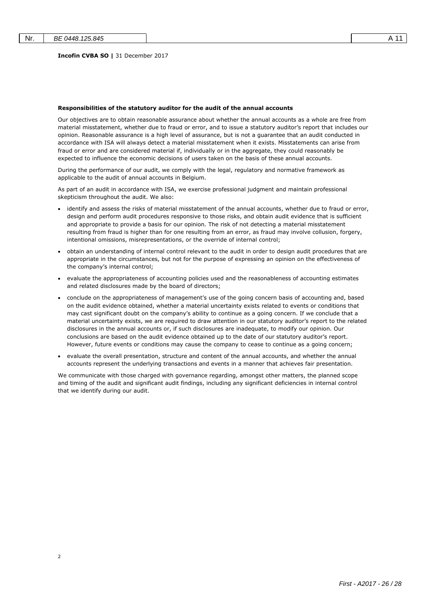$\overline{2}$ 

#### **Incofin CVBA SO |** 31 December 2017

#### **Responsibilities of the statutory auditor for the audit of the annual accounts**

Our objectives are to obtain reasonable assurance about whether the annual accounts as a whole are free from material misstatement, whether due to fraud or error, and to issue a statutory auditor's report that includes our opinion. Reasonable assurance is a high level of assurance, but is not a guarantee that an audit conducted in accordance with ISA will always detect a material misstatement when it exists. Misstatements can arise from fraud or error and are considered material if, individually or in the aggregate, they could reasonably be expected to influence the economic decisions of users taken on the basis of these annual accounts.

During the performance of our audit, we comply with the legal, regulatory and normative framework as applicable to the audit of annual accounts in Belgium.

As part of an audit in accordance with ISA, we exercise professional judgment and maintain professional skepticism throughout the audit. We also:

- identify and assess the risks of material misstatement of the annual accounts, whether due to fraud or error, design and perform audit procedures responsive to those risks, and obtain audit evidence that is sufficient and appropriate to provide a basis for our opinion. The risk of not detecting a material misstatement resulting from fraud is higher than for one resulting from an error, as fraud may involve collusion, forgery, intentional omissions, misrepresentations, or the override of internal control;
- obtain an understanding of internal control relevant to the audit in order to design audit procedures that are appropriate in the circumstances, but not for the purpose of expressing an opinion on the effectiveness of the company's internal control;
- evaluate the appropriateness of accounting policies used and the reasonableness of accounting estimates and related disclosures made by the board of directors;
- conclude on the appropriateness of management's use of the going concern basis of accounting and, based on the audit evidence obtained, whether a material uncertainty exists related to events or conditions that may cast significant doubt on the company's ability to continue as a going concern. If we conclude that a material uncertainty exists, we are required to draw attention in our statutory auditor's report to the related disclosures in the annual accounts or, if such disclosures are inadequate, to modify our opinion. Our conclusions are based on the audit evidence obtained up to the date of our statutory auditor's report. However, future events or conditions may cause the company to cease to continue as a going concern;
- evaluate the overall presentation, structure and content of the annual accounts, and whether the annual accounts represent the underlying transactions and events in a manner that achieves fair presentation.

We communicate with those charged with governance regarding, amongst other matters, the planned scope and timing of the audit and significant audit findings, including any significant deficiencies in internal control that we identify during our audit.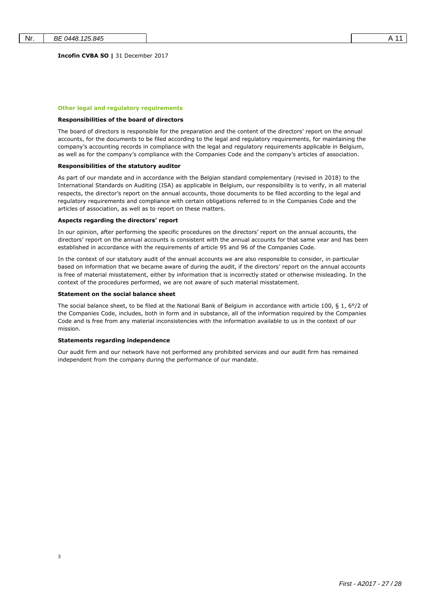**Incofin CVBA SO |** 31 December 2017

#### **Other legal and regulatory requirements**

#### **Responsibilities of the board of directors**

The board of directors is responsible for the preparation and the content of the directors' report on the annual accounts, for the documents to be filed according to the legal and regulatory requirements, for maintaining the company's accounting records in compliance with the legal and regulatory requirements applicable in Belgium, as well as for the company's compliance with the Companies Code and the company's articles of association.

#### **Responsibilities of the statutory auditor**

As part of our mandate and in accordance with the Belgian standard complementary (revised in 2018) to the International Standards on Auditing (ISA) as applicable in Belgium, our responsibility is to verify, in all material respects, the director's report on the annual accounts, those documents to be filed according to the legal and regulatory requirements and compliance with certain obligations referred to in the Companies Code and the articles of association, as well as to report on these matters.

#### **Aspects regarding the directors' report**

In our opinion, after performing the specific procedures on the directors' report on the annual accounts, the directors' report on the annual accounts is consistent with the annual accounts for that same year and has been established in accordance with the requirements of article 95 and 96 of the Companies Code.

In the context of our statutory audit of the annual accounts we are also responsible to consider, in particular based on information that we became aware of during the audit, if the directors' report on the annual accounts is free of material misstatement, either by information that is incorrectly stated or otherwise misleading. In the context of the procedures performed, we are not aware of such material misstatement.

#### **Statement on the social balance sheet**

The social balance sheet, to be filed at the National Bank of Belgium in accordance with article 100, § 1, 6°/2 of the Companies Code, includes, both in form and in substance, all of the information required by the Companies Code and is free from any material inconsistencies with the information available to us in the context of our mission.

### **Statements regarding independence**

3

Our audit firm and our network have not performed any prohibited services and our audit firm has remained independent from the company during the performance of our mandate.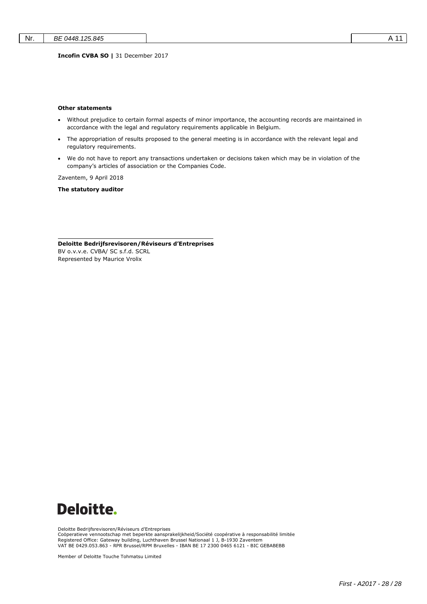**Incofin CVBA SO |** 31 December 2017

#### **Other statements**

- Without prejudice to certain formal aspects of minor importance, the accounting records are maintained in accordance with the legal and regulatory requirements applicable in Belgium.
- The appropriation of results proposed to the general meeting is in accordance with the relevant legal and regulatory requirements.
- We do not have to report any transactions undertaken or decisions taken which may be in violation of the company's articles of association or the Companies Code.

Zaventem, 9 April 2018

**The statutory auditor**

**Deloitte Bedrijfsrevisoren/Réviseurs d'Entreprises** BV o.v.v.e. CVBA/ SC s.f.d. SCRL Represented by Maurice Vrolix



Deloitte Bedrijfsrevisoren/Réviseurs d'Entreprises

Coöperatieve vennootschap met beperkte aansprakelijkheid/Société coopérative à responsabilité limitée Registered Office: Gateway building, Luchthaven Brussel Nationaal 1 J, B-1930 Zaventem VAT BE 0429.053.863 - RPR Brussel/RPM Bruxelles - IBAN BE 17 2300 0465 6121 - BIC GEBABEBB

Member of Deloitte Touche Tohmatsu Limited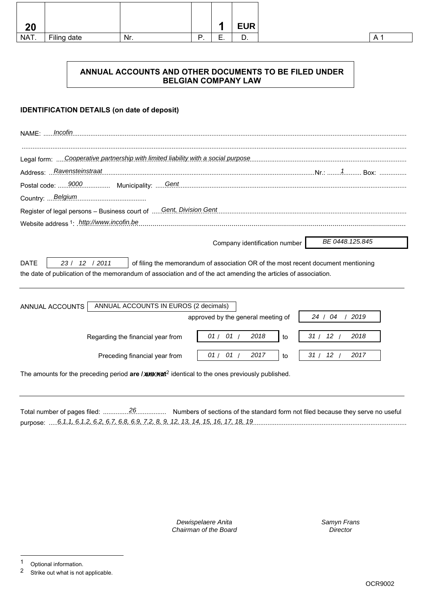| 20   |             |     |          | л                  | <b>EUR</b> |
|------|-------------|-----|----------|--------------------|------------|
| NAT. | Filing date | Nr. | D<br>. . | ౼<br>-<br><u>.</u> | υ.         |

# **ANNUAL ACCOUNTS AND OTHER DOCUMENTS TO BE FILED UNDER BELGIAN COMPANY LAW**

### **IDENTIFICATION DETAILS (on date of deposit)**

| Incofin<br>NAME:                                                                                                                                                                                                                    |                   |
|-------------------------------------------------------------------------------------------------------------------------------------------------------------------------------------------------------------------------------------|-------------------|
| Legal form: Cooperative partnership with limited liability with a social purpose                                                                                                                                                    |                   |
| Address: Ravensteinstraat                                                                                                                                                                                                           |                   |
|                                                                                                                                                                                                                                     |                   |
| Country:  Belgium                                                                                                                                                                                                                   |                   |
| Register of legal persons - Business court of  Gent, Division Gent.                                                                                                                                                                 |                   |
| Website address 1: http://www.incofin.be.                                                                                                                                                                                           |                   |
| Company identification number                                                                                                                                                                                                       | BE 0448.125.845   |
| 23 / 12 / 2011<br><b>DATE</b><br>of filing the memorandum of association OR of the most recent document mentioning<br>the date of publication of the memorandum of association and of the act amending the articles of association. |                   |
| ANNUAL ACCOUNTS IN EUROS (2 decimals)<br>ANNUAL ACCOUNTS                                                                                                                                                                            |                   |
| approved by the general meeting of                                                                                                                                                                                                  | 24 / 04<br>2019   |
| 01/01/<br>2018<br>Regarding the financial year from<br>to                                                                                                                                                                           | 31 / 12 /<br>2018 |
| 01/01/<br>2017<br>Preceding financial year from<br>to                                                                                                                                                                               | 31 / 12 /<br>2017 |
| The amounts for the preceding period are / are / are additional to the ones previously published.                                                                                                                                   |                   |

Total number of pages filed: ................................... Numbers of sections of the standard form not filed because they serve no useful 26 purpose: ...................................................................................................................................................................................................... 6.1.1, 6.1.2, 6.2, 6.7, 6.8, 6.9, 7.2, 8, 9, 12, 13, 14, 15, 16, 17, 18, 19

> Dewispelaere Anita Chairman of the Board

Samyn Frans **Director** 

l

<sup>1</sup> Optional information.<br>2 Strike out what is not

Strike out what is not applicable.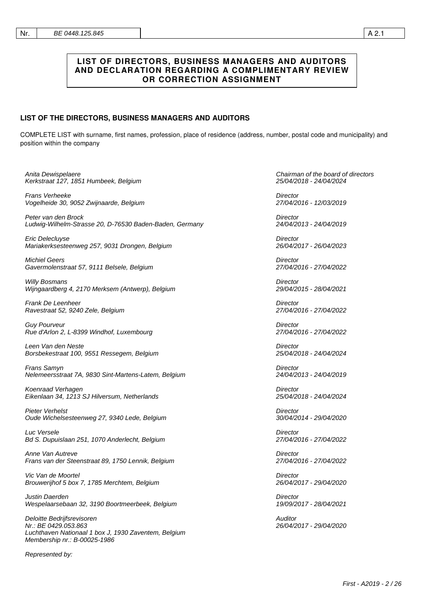## **LIST OF DIRECTORS, BUSINESS MANAGERS AND AUDITORS AND DECLARATION REGARDING A COMPLIMENTARY REVIEW OR CORRECTION ASSIGNMENT**

### **LIST OF THE DIRECTORS, BUSINESS MANAGERS AND AUDITORS**

COMPLETE LIST with surname, first names, profession, place of residence (address, number, postal code and municipality) and position within the company

| Anita Dewispelaere                                                                                                                         | Chairman of the board of directors |
|--------------------------------------------------------------------------------------------------------------------------------------------|------------------------------------|
| Kerkstraat 127, 1851 Humbeek, Belgium                                                                                                      | 25/04/2018 - 24/04/2024            |
| Frans Verheeke                                                                                                                             | Director                           |
| Vogelheide 30, 9052 Zwijnaarde, Belgium                                                                                                    | 27/04/2016 - 12/03/2019            |
| Peter van den Brock                                                                                                                        | Director                           |
| Ludwig-Wilhelm-Strasse 20, D-76530 Baden-Baden, Germany                                                                                    | 24/04/2013 - 24/04/2019            |
| Eric Delecluyse                                                                                                                            | Director                           |
| Mariakerksesteenweg 257, 9031 Drongen, Belgium                                                                                             | 26/04/2017 - 26/04/2023            |
| <b>Michiel Geers</b>                                                                                                                       | Director                           |
| Gavermolenstraat 57, 9111 Belsele, Belgium                                                                                                 | 27/04/2016 - 27/04/2022            |
| <b>Willy Bosmans</b>                                                                                                                       | <b>Director</b>                    |
| Wijngaardberg 4, 2170 Merksem (Antwerp), Belgium                                                                                           | 29/04/2015 - 28/04/2021            |
| Frank De Leenheer                                                                                                                          | Director                           |
| Ravestraat 52, 9240 Zele, Belgium                                                                                                          | 27/04/2016 - 27/04/2022            |
| <b>Guy Pourveur</b>                                                                                                                        | <b>Director</b>                    |
| Rue d'Arlon 2, L-8399 Windhof, Luxembourg                                                                                                  | 27/04/2016 - 27/04/2022            |
| Leen Van den Neste                                                                                                                         | Director                           |
| Borsbekestraat 100, 9551 Ressegem, Belgium                                                                                                 | 25/04/2018 - 24/04/2024            |
| Frans Samyn                                                                                                                                | Director                           |
| Nelemeersstraat 7A, 9830 Sint-Martens-Latem, Belgium                                                                                       | 24/04/2013 - 24/04/2019            |
| Koenraad Verhagen                                                                                                                          | Director                           |
| Eikenlaan 34, 1213 SJ Hilversum, Netherlands                                                                                               | 25/04/2018 - 24/04/2024            |
| <b>Pieter Verhelst</b>                                                                                                                     | Director                           |
| Oude Wichelsesteenweg 27, 9340 Lede, Belgium                                                                                               | 30/04/2014 - 29/04/2020            |
| Luc Versele                                                                                                                                | Director                           |
| Bd S. Dupuislaan 251, 1070 Anderlecht, Belgium                                                                                             | 27/04/2016 - 27/04/2022            |
| Anne Van Autreve                                                                                                                           | <b>Director</b>                    |
| Frans van der Steenstraat 89, 1750 Lennik, Belgium                                                                                         | 27/04/2016 - 27/04/2022            |
| Vic Van de Moortel                                                                                                                         | Director                           |
| Brouwerijhof 5 box 7, 1785 Merchtem, Belgium                                                                                               | 26/04/2017 - 29/04/2020            |
| Justin Daerden                                                                                                                             | Director                           |
| Wespelaarsebaan 32, 3190 Boortmeerbeek, Belgium                                                                                            | 19/09/2017 - 28/04/2021            |
| Deloitte Bedrijfsrevisoren<br>Nr.: BE 0429.053.863<br>Luchthaven Nationaal 1 box J, 1930 Zaventem, Belgium<br>Membership nr.: B-00025-1986 | Auditor<br>26/04/2017 - 29/04/2020 |
| Represented by:                                                                                                                            |                                    |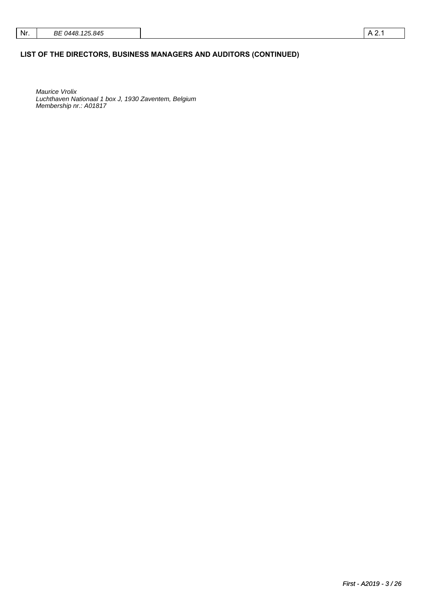## **LIST OF THE DIRECTORS, BUSINESS MANAGERS AND AUDITORS (CONTINUED)**

Maurice Vrolix Luchthaven Nationaal 1 box J, 1930 Zaventem, Belgium Membership nr.: A01817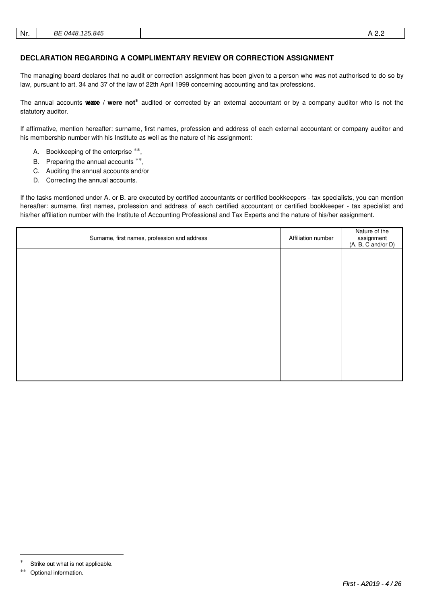### **DECLARATION REGARDING A COMPLIMENTARY REVIEW OR CORRECTION ASSIGNMENT**

The managing board declares that no audit or correction assignment has been given to a person who was not authorised to do so by law, pursuant to art. 34 and 37 of the law of 22th April 1999 concerning accounting and tax professions.

The annual accounts Wate / were not<sup>\*</sup> audited or corrected by an external accountant or by a company auditor who is not the statutory auditor.

If affirmative, mention hereafter: surname, first names, profession and address of each external accountant or company auditor and his membership number with his Institute as well as the nature of his assignment:

- A. Bookkeeping of the enterprise \*\*,
- B. Preparing the annual accounts \*\*,
- C. Auditing the annual accounts and/or
- D. Correcting the annual accounts.

If the tasks mentioned under A. or B. are executed by certified accountants or certified bookkeepers - tax specialists, you can mention hereafter: surname, first names, profession and address of each certified accountant or certified bookkeeper - tax specialist and his/her affiliation number with the Institute of Accounting Professional and Tax Experts and the nature of his/her assignment.

| Surname, first names, profession and address | Affiliation number | Nature of the<br>assignment<br>(A, B, C and/or D) |
|----------------------------------------------|--------------------|---------------------------------------------------|
|                                              |                    |                                                   |
|                                              |                    |                                                   |
|                                              |                    |                                                   |
|                                              |                    |                                                   |
|                                              |                    |                                                   |
|                                              |                    |                                                   |
|                                              |                    |                                                   |

-

Strike out what is not applicable.

<sup>∗∗</sup> Optional information.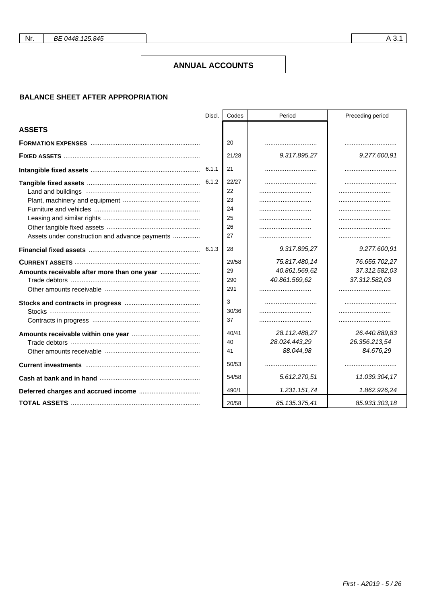Nr.

### **ANNUAL ACCOUNTS**

### **BALANCE SHEET AFTER APPROPRIATION**

|                                                | Discl. | Codes                                                          | Period                                         | Preceding period                               |
|------------------------------------------------|--------|----------------------------------------------------------------|------------------------------------------------|------------------------------------------------|
| <b>ASSETS</b>                                  |        |                                                                |                                                |                                                |
|                                                |        | 20                                                             |                                                |                                                |
|                                                |        | 21/28                                                          | 9.317.895.27                                   | 9.277.600,91                                   |
|                                                |        | 21                                                             |                                                |                                                |
| Assets under construction and advance payments | 6.1.3  | 22/27<br>22<br>23<br>24<br>25<br>26<br>27<br>28<br>29/58<br>29 | 9.317.895,27<br>75.817.480,14<br>40.861.569,62 | 9.277.600,91<br>76.655.702,27<br>37.312.582,03 |
|                                                |        | 290<br>291                                                     | 40.861.569,62                                  | 37.312.582,03<br>                              |
|                                                |        | 3<br>30/36<br>37                                               |                                                |                                                |
|                                                |        | 40/41<br>40<br>41                                              | 28.112.488,27<br>28.024.443,29<br>88.044,98    | 26.440.889,83<br>26.356.213,54<br>84.676,29    |
|                                                |        | 50/53                                                          |                                                |                                                |
|                                                |        | 54/58                                                          | 5.612.270,51                                   | 11.039.304,17                                  |
|                                                |        | 490/1                                                          | 1.231.151,74                                   | 1.862.926,24                                   |
|                                                |        | 20/58                                                          | 85.135.375,41                                  | 85.933.303,18                                  |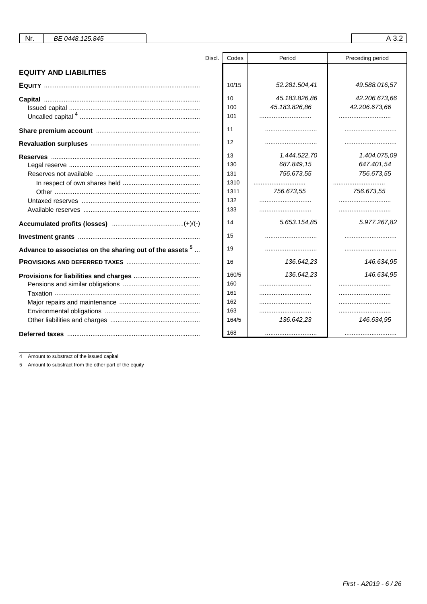| Nr. | BE 0448.125.845 |
|-----|-----------------|
|-----|-----------------|

# A 3.2

| <b>EQUITY AND LIABILITIES</b>                               |
|-------------------------------------------------------------|
|                                                             |
|                                                             |
|                                                             |
|                                                             |
|                                                             |
|                                                             |
|                                                             |
| Advance to associates on the sharing out of the assets $^5$ |
|                                                             |
|                                                             |
|                                                             |

| Discl. | Codes | Period        | Preceding period |
|--------|-------|---------------|------------------|
|        |       |               |                  |
|        |       |               |                  |
|        | 10/15 | 52.281.504,41 | 49.588.016,57    |
|        | 10    | 45.183.826,86 | 42.206.673,66    |
|        | 100   | 45.183.826,86 | 42.206.673,66    |
|        | 101   |               |                  |
|        | 11    |               |                  |
|        | 12    |               |                  |
|        | 13    | 1.444.522,70  | 1.404.075,09     |
|        | 130   | 687.849,15    | 647.401,54       |
|        | 131   | 756.673,55    | 756.673,55       |
|        | 1310  |               |                  |
|        | 1311  | 756.673,55    | 756.673,55       |
|        | 132   |               |                  |
|        | 133   | .             |                  |
|        | 14    | 5.653.154,85  | 5.977.267,82     |
|        | 15    |               |                  |
|        | 19    |               |                  |
|        | 16    | 136.642,23    | 146.634,95       |
|        | 160/5 | 136.642,23    | 146.634,95       |
|        | 160   |               |                  |
|        | 161   |               |                  |
|        | 162   |               |                  |
|        | 163   |               |                  |
|        | 164/5 | 136.642,23    | 146.634,95       |
|        | 168   |               |                  |

4 Amount to substract of the issued capital

5 Amount to substract from the other part of the equity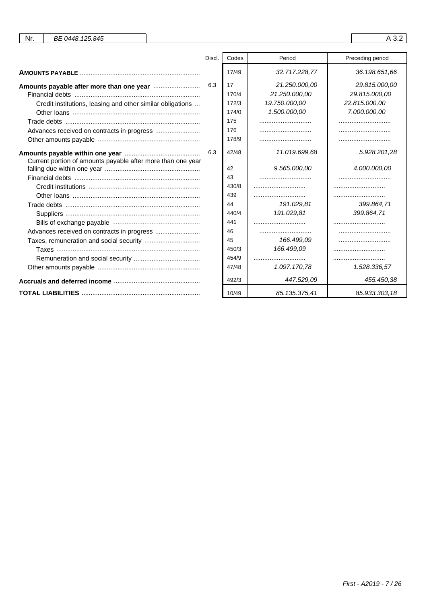| Nr.<br>BE 0448.125.845                                      |        |       |               | A 3.2            |
|-------------------------------------------------------------|--------|-------|---------------|------------------|
|                                                             |        |       |               |                  |
|                                                             | Discl. | Codes | Period        | Preceding period |
|                                                             |        | 17/49 | 32.717.228,77 | 36.198.651,66    |
|                                                             | 6.3    | 17    | 21.250.000,00 | 29.815.000,00    |
|                                                             |        | 170/4 | 21.250.000,00 | 29.815.000,00    |
| Credit institutions, leasing and other similar obligations  |        | 172/3 | 19.750.000,00 | 22.815.000,00    |
|                                                             |        | 174/0 | 1.500.000,00  | 7.000.000,00     |
|                                                             |        | 175   |               |                  |
|                                                             |        | 176   |               |                  |
|                                                             |        | 178/9 |               |                  |
|                                                             | 6.3    | 42/48 | 11.019.699,68 | 5.928.201,28     |
| Current portion of amounts payable after more than one year |        | 42    | 9.565.000,00  | 4.000.000,00     |
|                                                             |        | 43    |               |                  |
|                                                             |        | 430/8 |               |                  |
|                                                             |        | 439   |               |                  |
|                                                             |        | 44    | 191.029,81    | 399.864,71       |
|                                                             |        | 440/4 | 191.029,81    | 399.864,71       |
|                                                             |        | 441   |               |                  |
| Advances received on contracts in progress                  |        | 46    |               |                  |
| Taxes, remuneration and social security                     |        | 45    | 166.499,09    |                  |
|                                                             |        | 450/3 | 166.499,09    |                  |
|                                                             |        | 454/9 |               |                  |
|                                                             |        | 47/48 | 1.097.170,78  | 1.528.336,57     |
|                                                             |        |       |               |                  |
|                                                             |        | 492/3 | 447.529,09    | 455.450,38       |
|                                                             |        | 10/49 | 85.135.375.41 | 85.933.303.18    |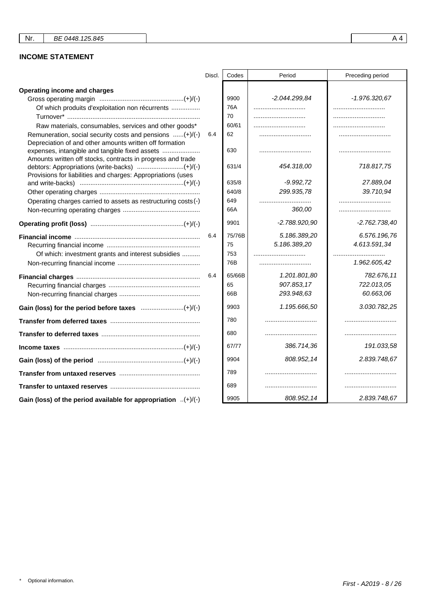# **INCOME STATEMENT**

|                                                                                                                     | Discl. | Codes  | Period          | Preceding period |
|---------------------------------------------------------------------------------------------------------------------|--------|--------|-----------------|------------------|
| Operating income and charges                                                                                        |        |        |                 |                  |
|                                                                                                                     |        | 9900   | $-2.044.299.84$ | $-1.976.320,67$  |
| Of which produits d'exploitation non récurrents                                                                     |        | 76A    |                 |                  |
|                                                                                                                     |        | 70     |                 |                  |
| Raw materials, consumables, services and other goods*                                                               |        | 60/61  |                 |                  |
| Remuneration, social security costs and pensions (+)/(-)<br>Depreciation of and other amounts written off formation | 6.4    | 62     |                 |                  |
| expenses, intangible and tangible fixed assets<br>Amounts written off stocks, contracts in progress and trade       |        | 630    |                 |                  |
| Provisions for liabilities and charges: Appropriations (uses                                                        |        | 631/4  | 454.318,00      | 718.817,75       |
|                                                                                                                     |        | 635/8  | $-9.992,72$     | 27.889,04        |
|                                                                                                                     |        | 640/8  | 299.935,78      | 39.710,94        |
| Operating charges carried to assets as restructuring costs (-)                                                      |        | 649    |                 |                  |
|                                                                                                                     |        | 66A    | 360,00          |                  |
|                                                                                                                     |        | 9901   | -2.788.920,90   | $-2.762.738.40$  |
|                                                                                                                     | 6.4    | 75/76B | 5.186.389,20    | 6.576.196,76     |
|                                                                                                                     |        | 75     | 5.186.389.20    | 4.613.591,34     |
| Of which: investment grants and interest subsidies                                                                  |        | 753    |                 |                  |
|                                                                                                                     |        | 76B    |                 | 1.962.605,42     |
|                                                                                                                     | 6.4    | 65/66B | 1.201.801,80    | 782.676,11       |
|                                                                                                                     |        | 65     | 907.853,17      | 722.013,05       |
|                                                                                                                     |        | 66B    | 293.948,63      | 60.663,06        |
|                                                                                                                     |        | 9903   | 1.195.666,50    | 3.030.782,25     |
|                                                                                                                     |        | 780    |                 |                  |
|                                                                                                                     |        | 680    |                 |                  |
|                                                                                                                     |        | 67/77  | 386.714,36      | 191.033,58       |
|                                                                                                                     |        | 9904   | 808.952,14      | 2.839.748,67     |
|                                                                                                                     |        | 789    |                 |                  |
|                                                                                                                     |        | 689    |                 |                  |
| Gain (loss) of the period available for appropriation $(+)/(-)$                                                     |        | 9905   | 808.952,14      | 2.839.748,67     |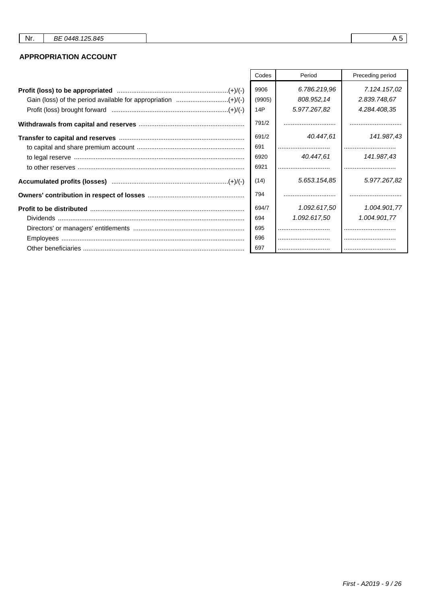## **APPROPRIATION ACCOUNT**

|                                                               | Codes          | Period                     | Preceding period             |
|---------------------------------------------------------------|----------------|----------------------------|------------------------------|
| Gain (loss) of the period available for appropriation (+)/(-) | 9906<br>(9905) | 6.786.219,96<br>808.952,14 | 7.124.157,02<br>2.839.748,67 |
|                                                               | 14P            | 5.977.267,82               | 4.284.408,35                 |
|                                                               | 791/2          |                            |                              |
|                                                               | 691/2          | 40.447,61                  | 141.987,43                   |
|                                                               | 691            |                            |                              |
|                                                               | 6920           | 40.447,61                  | 141.987,43                   |
|                                                               | 6921           |                            |                              |
|                                                               | (14)           | 5.653.154.85               | 5.977.267,82                 |
|                                                               | 794            |                            |                              |
|                                                               | 694/7          | 1.092.617,50               | 1.004.901,77                 |
|                                                               | 694            | 1.092.617.50               | 1.004.901,77                 |
|                                                               | 695            |                            |                              |
|                                                               | 696            |                            |                              |
|                                                               | 697            |                            |                              |

 $\mathsf{r}$ 

┯

 $A5$ 

٦

┱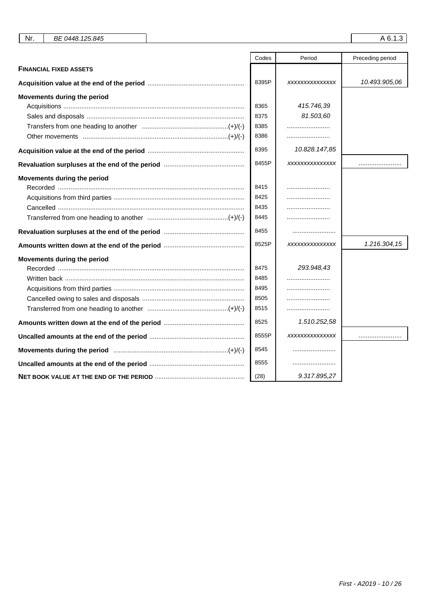| Nr.<br>BE 0448.125.845        |       |                | A 6.1.3          |
|-------------------------------|-------|----------------|------------------|
|                               | Codes | Period         | Preceding period |
| <b>FINANCIAL FIXED ASSETS</b> |       |                |                  |
|                               | 8395P | XXXXXXXXXXXXXX | 10.493.905,06    |
| Movements during the period   |       |                |                  |
|                               | 8365  | 415.746,39     |                  |
|                               | 8375  | 81.503,60      |                  |
|                               | 8385  |                |                  |
|                               | 8386  |                |                  |
|                               | 8395  | 10.828.147,85  |                  |
|                               | 8455P | XXXXXXXXXXXXXX |                  |
| Movements during the period   |       |                |                  |
|                               | 8415  |                |                  |
|                               | 8425  |                |                  |
|                               | 8435  |                |                  |
|                               | 8445  |                |                  |
|                               | 8455  |                |                  |
|                               | 8525P | XXXXXXXXXXXXXX | 1.216.304,15     |
| Movements during the period   |       |                |                  |
|                               | 8475  | 293.948,43     |                  |
|                               | 8485  |                |                  |
|                               | 8495  |                |                  |
|                               | 8505  |                |                  |
|                               | 8515  |                |                  |
|                               | 8525  | 1.510.252,58   |                  |
|                               | 8555P | XXXXXXXXXXXXXX |                  |
|                               | 8545  |                |                  |
|                               | 8555  |                |                  |
|                               | (28)  | 9.317.895,27   |                  |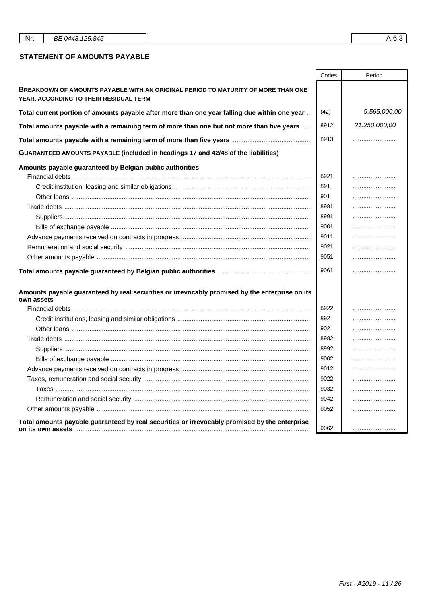| Nr. | BE 0448.125.845 |
|-----|-----------------|
|-----|-----------------|

### **STATEMENT OF AMOUNTS PAYABLE**

|                                                                                                                             | Codes        | Period        |
|-----------------------------------------------------------------------------------------------------------------------------|--------------|---------------|
| BREAKDOWN OF AMOUNTS PAYABLE WITH AN ORIGINAL PERIOD TO MATURITY OF MORE THAN ONE<br>YEAR, ACCORDING TO THEIR RESIDUAL TERM |              |               |
| Total current portion of amounts payable after more than one year falling due within one year                               | (42)         | 9.565.000,00  |
| Total amounts payable with a remaining term of more than one but not more than five years                                   | 8912         | 21.250.000,00 |
|                                                                                                                             | 8913         |               |
| GUARANTEED AMOUNTS PAYABLE (included in headings 17 and 42/48 of the liabilities)                                           |              |               |
| Amounts payable guaranteed by Belgian public authorities                                                                    | 8921<br>891  |               |
|                                                                                                                             | 901          |               |
|                                                                                                                             | 8981         |               |
|                                                                                                                             | 8991         |               |
|                                                                                                                             | 9001<br>9011 |               |
|                                                                                                                             | 9021         |               |
|                                                                                                                             | 9051         |               |
|                                                                                                                             | 9061         |               |
| Amounts payable guaranteed by real securities or irrevocably promised by the enterprise on its<br>own assets                |              |               |
|                                                                                                                             | 8922         |               |
|                                                                                                                             | 892          |               |
|                                                                                                                             | 902          |               |
|                                                                                                                             | 8982         |               |
|                                                                                                                             | 8992         |               |
|                                                                                                                             | 9002         |               |
|                                                                                                                             | 9012         |               |
|                                                                                                                             | 9022         |               |
|                                                                                                                             | 9032         |               |
|                                                                                                                             | 9042         |               |
|                                                                                                                             | 9052         |               |
| Total amounts payable guaranteed by real securities or irrevocably promised by the enterprise                               | 9062         |               |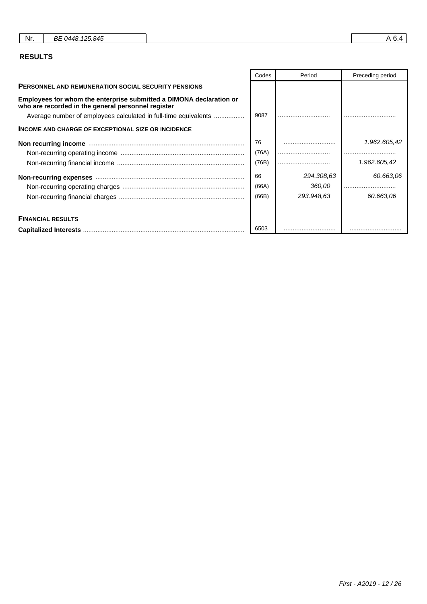| Nr.<br>BE 0448.125.845 |
|------------------------|
|------------------------|

# **RESULTS**

|                                                                                                                           | Codes | Period     | Preceding period |
|---------------------------------------------------------------------------------------------------------------------------|-------|------------|------------------|
| <b>PERSONNEL AND REMUNERATION SOCIAL SECURITY PENSIONS</b>                                                                |       |            |                  |
| Employees for whom the enterprise submitted a DIMONA declaration or<br>who are recorded in the general personnel register |       |            |                  |
| Average number of employees calculated in full-time equivalents                                                           | 9087  |            |                  |
| <b>INCOME AND CHARGE OF EXCEPTIONAL SIZE OR INCIDENCE</b>                                                                 |       |            |                  |
|                                                                                                                           | 76    |            | 1.962.605,42     |
|                                                                                                                           | (76A) |            |                  |
|                                                                                                                           | (76B) |            | 1.962.605,42     |
|                                                                                                                           | 66    | 294.308,63 | 60.663,06        |
|                                                                                                                           | (66A) | 360,00     |                  |
|                                                                                                                           | (66B) | 293.948,63 | 60.663,06        |
| <b>FINANCIAL RESULTS</b>                                                                                                  |       |            |                  |
|                                                                                                                           | 6503  |            |                  |

 $\mathsf{r}$ 

┱

٦

┱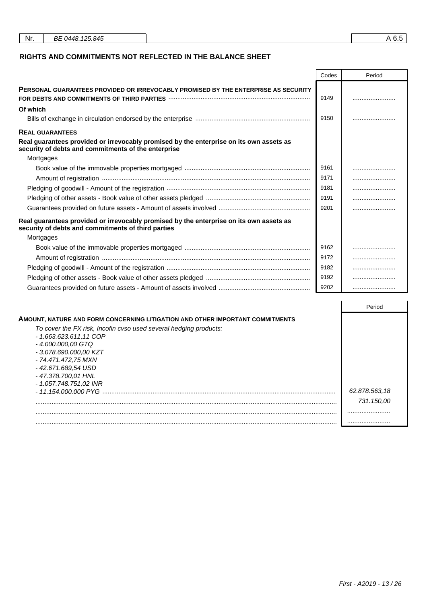| Nr. | BE 0448, 125, 845 | c |
|-----|-------------------|---|
|     |                   |   |

## **RIGHTS AND COMMITMENTS NOT REFLECTED IN THE BALANCE SHEET**

|                                                                                                                                                                                                      | Codes | Period |
|------------------------------------------------------------------------------------------------------------------------------------------------------------------------------------------------------|-------|--------|
| <b>PERSONAL GUARANTEES PROVIDED OR IRREVOCABLY PROMISED BY THE ENTERPRISE AS SECURITY</b><br>FOR DEBTS AND COMMITMENTS OF THIRD PARTIES <b>With Commitmed Contract Commitmed Contract Commitment</b> | 9149  |        |
| Of which                                                                                                                                                                                             |       |        |
|                                                                                                                                                                                                      | 9150  |        |
| <b>REAL GUARANTEES</b>                                                                                                                                                                               |       |        |
| Real guarantees provided or irrevocably promised by the enterprise on its own assets as<br>security of debts and commitments of the enterprise                                                       |       |        |
| Mortgages                                                                                                                                                                                            |       |        |
|                                                                                                                                                                                                      | 9161  |        |
|                                                                                                                                                                                                      | 9171  |        |
|                                                                                                                                                                                                      | 9181  |        |
|                                                                                                                                                                                                      | 9191  |        |
|                                                                                                                                                                                                      | 9201  |        |
| Real guarantees provided or irrevocably promised by the enterprise on its own assets as<br>security of debts and commitments of third parties                                                        |       |        |
| Mortgages                                                                                                                                                                                            |       |        |
|                                                                                                                                                                                                      | 9162  |        |
|                                                                                                                                                                                                      | 9172  |        |
|                                                                                                                                                                                                      | 9182  |        |
|                                                                                                                                                                                                      | 9192  |        |
|                                                                                                                                                                                                      | 9202  |        |

|                                                                               | Period        |
|-------------------------------------------------------------------------------|---------------|
| AMOUNT, NATURE AND FORM CONCERNING LITIGATION AND OTHER IMPORTANT COMMITMENTS |               |
| To cover the FX risk, Incofin cvso used several hedging products:             |               |
| $-1.663.623.611.11$ COP                                                       |               |
| - 4.000.000,00 GTQ                                                            |               |
| - 3.078.690.000.00 KZT                                                        |               |
| - 74.471.472,75 MXN                                                           |               |
| - 42.671.689,54 USD                                                           |               |
| - 47.378.700.01 HNL                                                           |               |
| - 1.057.748.751.02 INR                                                        |               |
| - 11.154.000.000 PYG                                                          | 62.878.563,18 |
|                                                                               | 731.150,00    |
|                                                                               |               |
|                                                                               |               |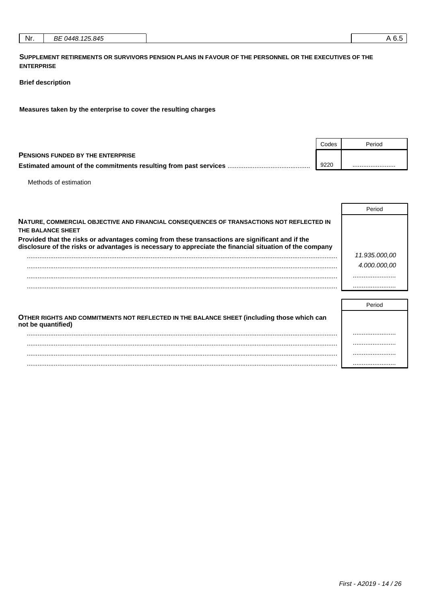|--|

**SUPPLEMENT RETIREMENTS OR SURVIVORS PENSION PLANS IN FAVOUR OF THE PERSONNEL OR THE EXECUTIVES OF THE ENTERPRISE**

### **Brief description**

**Measures taken by the enterprise to cover the resulting charges**

|                                                                          | Codes | Period |
|--------------------------------------------------------------------------|-------|--------|
| <b>PENSIONS FUNDED BY THE ENTERPRISE</b>                                 |       |        |
| <b>Estimated amount of the commitments resulting from past services </b> | 9220  |        |

Methods of estimation

|                                                                                                                                                                                                            | Period        |
|------------------------------------------------------------------------------------------------------------------------------------------------------------------------------------------------------------|---------------|
| NATURE, COMMERCIAL OBJECTIVE AND FINANCIAL CONSEQUENCES OF TRANSACTIONS NOT REFLECTED IN<br>THE BALANCE SHEET                                                                                              |               |
| Provided that the risks or advantages coming from these transactions are significant and if the<br>disclosure of the risks or advantages is necessary to appreciate the financial situation of the company |               |
|                                                                                                                                                                                                            | 11.935.000,00 |
|                                                                                                                                                                                                            | 4.000.000.00  |
|                                                                                                                                                                                                            |               |
|                                                                                                                                                                                                            |               |
|                                                                                                                                                                                                            |               |
|                                                                                                                                                                                                            | Period        |
| OTHER RIGHTS AND COMMITMENTS NOT REFLECTED IN THE BALANCE SHEET (including those which can                                                                                                                 |               |

| UTHER RIGHTS AND COMMITMENTS NOT REFLECTED IN THE BALANCE SHEET (INCIDING UIOSE WINCH CALL<br>not be quantified) |  |
|------------------------------------------------------------------------------------------------------------------|--|
|                                                                                                                  |  |
|                                                                                                                  |  |
|                                                                                                                  |  |
|                                                                                                                  |  |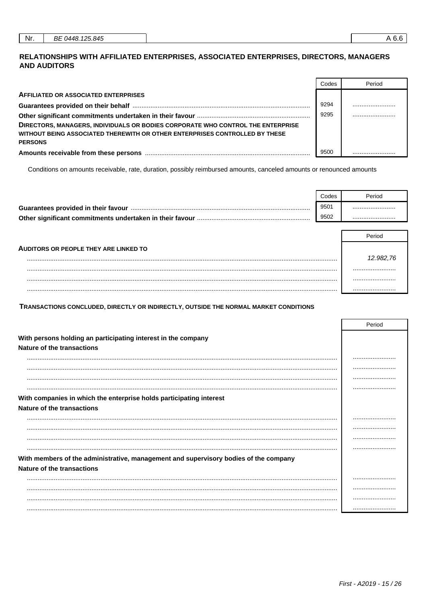## RELATIONSHIPS WITH AFFILIATED ENTERPRISES, ASSOCIATED ENTERPRISES, DIRECTORS, MANAGERS **AND AUDITORS**

|                                                                                 | Codes | Period |
|---------------------------------------------------------------------------------|-------|--------|
| <b>AFFILIATED OR ASSOCIATED ENTERPRISES</b>                                     |       |        |
|                                                                                 | 9294  |        |
|                                                                                 | 9295  |        |
| DIRECTORS, MANAGERS, INDIVIDUALS OR BODIES CORPORATE WHO CONTROL THE ENTERPRISE |       |        |
| WITHOUT BEING ASSOCIATED THEREWITH OR OTHER ENTERPRISES CONTROLLED BY THESE     |       |        |
| <b>PERSONS</b>                                                                  |       |        |
|                                                                                 | 9500  |        |

Conditions on amounts receivable, rate, duration, possibly reimbursed amounts, canceled amounts or renounced amounts

|                                                          | Codes | Period |
|----------------------------------------------------------|-------|--------|
| Guarantees provided in their favour                      | 9501  |        |
| Other significant commitments undertaken in their favour | 9502  |        |

|                                              | Period    |
|----------------------------------------------|-----------|
| <b>AUDITORS OR PEOPLE THEY ARE LINKED TO</b> |           |
|                                              | 12.982.76 |
|                                              |           |
|                                              |           |
|                                              |           |

TRANSACTIONS CONCLUDED, DIRECTLY OR INDIRECTLY, OUTSIDE THE NORMAL MARKET CONDITIONS

|                                                                                      | Period |
|--------------------------------------------------------------------------------------|--------|
| With persons holding an participating interest in the company                        |        |
| Nature of the transactions                                                           |        |
|                                                                                      |        |
|                                                                                      |        |
|                                                                                      |        |
|                                                                                      |        |
| With companies in which the enterprise holds participating interest                  |        |
| Nature of the transactions                                                           |        |
|                                                                                      |        |
|                                                                                      |        |
|                                                                                      |        |
|                                                                                      |        |
| With members of the administrative, management and supervisory bodies of the company |        |
| Nature of the transactions                                                           |        |
|                                                                                      |        |
|                                                                                      |        |
|                                                                                      |        |
|                                                                                      |        |

┑

 $\Box$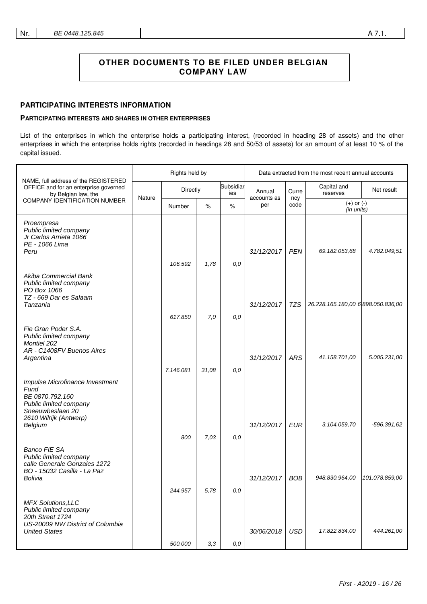### **PARTICIPATING INTERESTS INFORMATION**

### **PARTICIPATING INTERESTS AND SHARES IN OTHER ENTERPRISES**

List of the enterprises in which the enterprise holds a participating interest, (recorded in heading 28 of assets) and the other enterprises in which the enterprise holds rights (recorded in headings 28 and 50/53 of assets) for an amount of at least 10 % of the capital issued.

|                                                                                                                                               | Rights held by |           |       |                  | Data extracted from the most recent annual accounts |             |                                    |                |
|-----------------------------------------------------------------------------------------------------------------------------------------------|----------------|-----------|-------|------------------|-----------------------------------------------------|-------------|------------------------------------|----------------|
| NAME, full address of the REGISTERED<br>OFFICE and for an enterprise governed<br>by Belgian law, the<br><b>COMPANY IDENTIFICATION NUMBER</b>  |                | Directly  |       | Subsidiar<br>ies | Annual                                              | Curre       | Capital and<br>reserves            | Net result     |
|                                                                                                                                               | Nature         | Number    | $\%$  | $\%$             | accounts as<br>per                                  | ncy<br>code | $(+)$ or $(-)$<br>(in units)       |                |
| Proempresa<br>Public limited company<br>Jr Carlos Arrieta 1066<br>PE - 1066 Lima<br>Peru                                                      |                | 106.592   | 1,78  | 0,0              | 31/12/2017                                          | <b>PEN</b>  | 69.182.053,68                      | 4.782.049,51   |
| Akiba Commercial Bank<br>Public limited company<br>PO Box 1066<br>TZ - 669 Dar es Salaam<br>Tanzania                                          |                |           |       |                  | 31/12/2017                                          | TZS         | 26.228.165.180,00 6 898.050.836,00 |                |
|                                                                                                                                               |                | 617.850   | 7,0   | 0,0              |                                                     |             |                                    |                |
| Fie Gran Poder S.A.<br>Public limited company<br><b>Montiel 202</b><br>AR - C1408FV Buenos Aires<br>Argentina                                 |                | 7.146.081 | 31,08 | 0,0              | 31/12/2017                                          | <b>ARS</b>  | 41.158.701,00                      | 5.005.231,00   |
| Impulse Microfinance Investment<br>Fund<br>BE 0870.792.160<br>Public limited company<br>Sneeuwbeslaan 20<br>2610 Wilrijk (Antwerp)<br>Belgium |                |           |       |                  | 31/12/2017                                          | <b>EUR</b>  | 3.104.059,70                       | -596.391,62    |
| <b>Banco FIE SA</b><br>Public limited company<br>calle Generale Gonzales 1272<br>BO - 15032 Casilla - La Paz<br>Bolivia                       |                | 800       | 7,03  | 0,0              | 31/12/2017                                          | <b>BOB</b>  | 948.830.964,00                     | 101.078.859,00 |
|                                                                                                                                               |                | 244.957   | 5,78  | 0,0              |                                                     |             |                                    |                |
| <b>MFX Solutions, LLC</b><br>Public limited company<br>20th Street 1724<br>US-20009 NW District of Columbia<br><b>United States</b>           |                |           |       |                  | 30/06/2018                                          | <b>USD</b>  | 17.822.834,00                      | 444.261,00     |
|                                                                                                                                               |                | 500.000   | 3,3   | 0,0              |                                                     |             |                                    |                |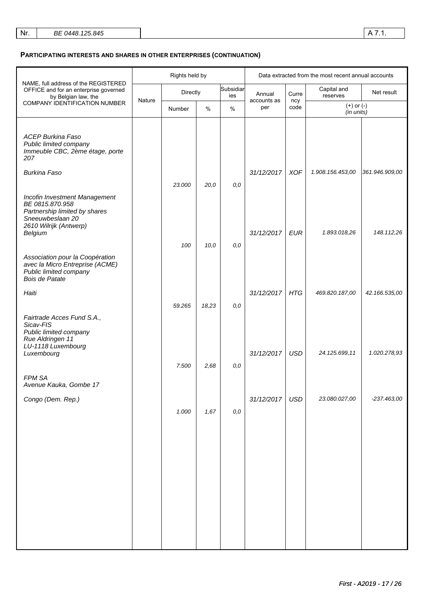## **PARTICIPATING INTERESTS AND SHARES IN OTHER ENTERPRISES (CONTINUATION)**

|                                                                                                                                 | Rights held by |          |       |                  | Data extracted from the most recent annual accounts |             |                              |                |
|---------------------------------------------------------------------------------------------------------------------------------|----------------|----------|-------|------------------|-----------------------------------------------------|-------------|------------------------------|----------------|
| NAME, full address of the REGISTERED<br>OFFICE and for an enterprise governed<br>by Belgian law, the                            |                | Directly |       | Subsidiar<br>ies | Annual                                              | Curre       | Capital and<br>reserves      | Net result     |
| COMPANY IDENTIFICATION NUMBER                                                                                                   | Nature         | Number   | $\%$  | %                | accounts as<br>per                                  | ncy<br>code | $(+)$ or $(-)$<br>(in units) |                |
| <b>ACEP Burkina Faso</b><br>Public limited company<br>Immeuble CBC, 2ème étage, porte<br>207                                    |                |          |       |                  |                                                     |             |                              |                |
| <b>Burkina Faso</b>                                                                                                             |                | 23.000   | 20,0  | 0,0              | 31/12/2017                                          | <b>XOF</b>  | 1.908.156.453,00             | 361.946.909,00 |
| Incofin Investment Management<br>BE 0815.870.958<br>Partnership limited by shares<br>Sneeuwbeslaan 20<br>2610 Wilrijk (Antwerp) |                |          |       |                  |                                                     | <b>EUR</b>  | 1.893.018,26                 | 148.112,26     |
| Belgium                                                                                                                         |                | 100      | 10,0  | 0,0              | 31/12/2017                                          |             |                              |                |
| Association pour la Coopération<br>avec la Micro Entreprise (ACME)<br>Public limited company<br>Bois de Patate                  |                |          |       |                  |                                                     |             |                              |                |
| Haiti                                                                                                                           |                | 59.265   | 18,23 | 0,0              | 31/12/2017                                          | <b>HTG</b>  | 469.820.187,00               | 42.166.535,00  |
| Fairtrade Acces Fund S.A.,<br>Sicav-FIS<br>Public limited company<br>Rue Aldringen 11<br>LU-1118 Luxembourg<br>Luxembourg       |                | 7.500    | 2,68  | 0,0              | 31/12/2017                                          | <b>USD</b>  | 24.125.699,11                | 1.020.278,93   |
| FPM SA<br>Avenue Kauka, Gombe 17                                                                                                |                |          |       |                  |                                                     |             |                              |                |
| Congo (Dem. Rep.)                                                                                                               |                | 1.000    | 1,67  | $0,0$            | 31/12/2017                                          | <b>USD</b>  | 23.080.027,00                | $-237.463,00$  |
|                                                                                                                                 |                |          |       |                  |                                                     |             |                              |                |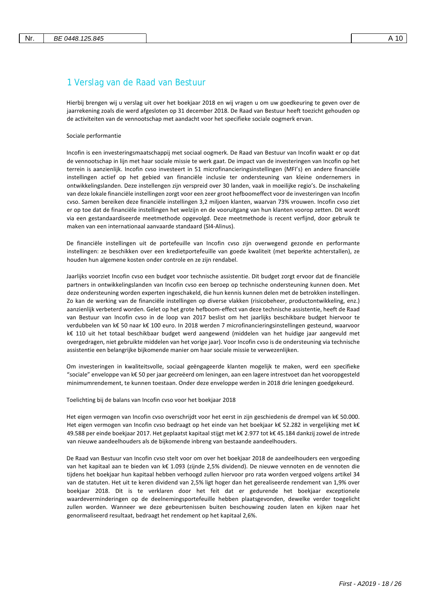# 1 Verslag van de Raad van Bestuur

Hierbij brengen wij u verslag uit over het boekjaar 2018 en wij vragen u om uw goedkeuring te geven over de jaarrekening zoals die werd afgesloten op 31 december 2018. De Raad van Bestuur heeft toezicht gehouden op de activiteiten van de vennootschap met aandacht voor het specifieke sociale oogmerk ervan.

### Sociale performantie

Incofin is een investeringsmaatschappij met sociaal oogmerk. De Raad van Bestuur van Incofin waakt er op dat de vennootschap in lijn met haar sociale missie te werk gaat. De impact van de investeringen van Incofin op het terrein is aanzienlijk. Incofin cvso investeert in 51 microfinancieringsinstellingen (MFI's) en andere financiële instellingen actief op het gebied van financiële inclusie ter ondersteuning van kleine ondernemers in ontwikkelingslanden. Deze instellengen zijn verspreid over 30 landen, vaak in moeilijke regio's. De inschakeling van deze lokale financiële instellingen zorgt voor een zeer groot hefboomeffect voor de investeringen van Incofin cvso. Samen bereiken deze financiële instellingen 3,2 miljoen klanten, waarvan 73% vrouwen. Incofin cvso ziet er op toe dat de financiële instellingen het welzijn en de vooruitgang van hun klanten voorop zetten. Dit wordt via een gestandaardiseerde meetmethode opgevolgd. Deze meetmethode is recent verfijnd, door gebruik te maken van een internationaal aanvaarde standaard (SI4-Alinus).

De financiële instellingen uit de portefeuille van Incofin cvso zijn overwegend gezonde en performante instellingen: ze beschikken over een kredietportefeuille van goede kwaliteit (met beperkte achterstallen), ze houden hun algemene kosten onder controle en ze zijn rendabel.

Jaarlijks voorziet Incofin cvso een budget voor technische assistentie. Dit budget zorgt ervoor dat de financiële partners in ontwikkelingslanden van Incofin cvso een beroep op technische ondersteuning kunnen doen. Met deze ondersteuning worden experten ingeschakeld, die hun kennis kunnen delen met de betrokken instellingen. Zo kan de werking van de financiële instellingen op diverse vlakken (risicobeheer, productontwikkeling, enz.) aanzienlijk verbeterd worden. Gelet op het grote hefboom-effect van deze technische assistentie, heeft de Raad van Bestuur van Incofin cvso in de loop van 2017 beslist om het jaarlijks beschikbare budget hiervoor te verdubbelen van k€ 50 naar k€ 100 euro. In 2018 werden 7 microfinancieringsinstellingen gesteund, waarvoor k€ 110 uit het totaal beschikbaar budget werd aangewend (middelen van het huidige jaar aangevuld met overgedragen, niet gebruikte middelen van het vorige jaar). Voor Incofin cvso is de ondersteuning via technische assistentie een belangrijke bijkomende manier om haar sociale missie te verwezenlijken.

Om investeringen in kwaliteitsvolle, sociaal geëngageerde klanten mogelijk te maken, werd een specifieke "sociale" enveloppe van k€ 50 per jaar gecreëerd om leningen, aan een lagere intrestvoet dan het vooropgesteld minimumrendement, te kunnen toestaan. Onder deze enveloppe werden in 2018 drie leningen goedgekeurd.

Toelichting bij de balans van Incofin cvso voor het boekjaar 2018

Het eigen vermogen van Incofin cvso overschrijdt voor het eerst in zijn geschiedenis de drempel van k€ 50.000. Het eigen vermogen van Incofin cvso bedraagt op het einde van het boekjaar k€ 52.282 in vergelijking met k€ 49.588 per einde boekjaar 2017. Het geplaatst kapitaal stijgt met k€ 2.977 tot k€ 45.184 dankzij zowel de intrede van nieuwe aandeelhouders als de bijkomende inbreng van bestaande aandeelhouders.

De Raad van Bestuur van Incofin cvso stelt voor om over het boekjaar 2018 de aandeelhouders een vergoeding van het kapitaal aan te bieden van k€ 1.093 (zijnde 2,5% dividend). De nieuwe vennoten en de vennoten die tijdens het boekjaar hun kapitaal hebben verhoogd zullen hiervoor pro rata worden vergoed volgens artikel 34 van de statuten. Het uit te keren dividend van 2,5% ligt hoger dan het gerealiseerde rendement van 1,9% over boekjaar 2018. Dit is te verklaren door het feit dat er gedurende het boekjaar exceptionele waardeverminderingen op de deelnemingsportefeuille hebben plaatsgevonden, dewelke verder toegelicht zullen worden. Wanneer we deze gebeurtenissen buiten beschouwing zouden laten en kijken naar het genormaliseerd resultaat, bedraagt het rendement op het kapitaal 2,6%.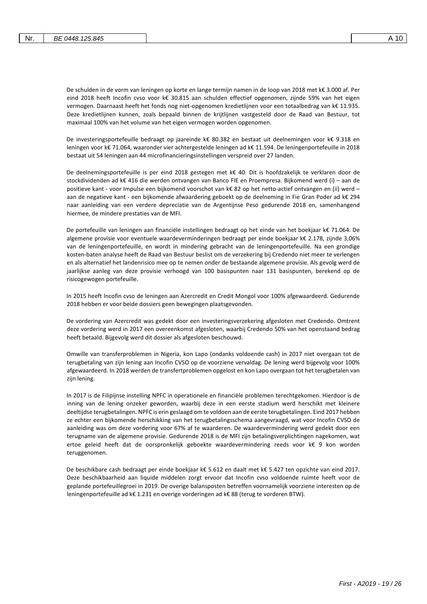De schulden in de vorm van leningen op korte en lange termijn namen in de loop van 2018 met k€ 3.000 af. Per eind 2018 heeft Incofin cvso voor k€ 30.815 aan schulden effectief opgenomen, zijnde 59% van het eigen vermogen. Daarnaast heeft het fonds nog niet-opgenomen kredietlijnen voor een totaalbedrag van k€ 11.935. Deze kredietlijnen kunnen, zoals bepaald binnen de krijtlijnen vastgesteld door de Raad van Bestuur, tot maximaal 100% van het volume van het eigen vermogen worden opgenomen.

De investeringsportefeuille bedraagt op jaareinde k€ 80.382 en bestaat uit deelnemingen voor k€ 9.318 en leningen voor k€ 71.064, waaronder vier achtergestelde leningen ad k€ 11.594. De leningenportefeuille in 2018 bestaat uit 54 leningen aan 44 microfinancieringsinstellingen verspreid over 27 landen.

De deelnemingsportefeuille is per eind 2018 gestegen met k€ 40. Dit is hoofdzakelijk te verklaren door de stockdividenden ad k€ 416 die werden ontvangen van Banco FIE en Proempresa. Bijkomend werd (i) – aan de positieve kant - voor Impulse een bijkomend voorschot van k€ 82 op het netto-actief ontvangen en (ii) werd – aan de negatieve kant - een bijkomende afwaardering geboekt op de deelneming in Fie Gran Poder ad k€ 294 naar aanleiding van een verdere depreciatie van de Argentijnse Peso gedurende 2018 en, samenhangend hiermee, de mindere prestaties van de MFI.

De portefeuille van leningen aan financiële instellingen bedraagt op het einde van het boekjaar k€ 71.064. De algemene provisie voor eventuele waardeverminderingen bedraagt per einde boekjaar k€ 2.178, zijnde 3,06% van de leningenportefeuille, en wordt in mindering gebracht van de leningenportefeuille. Na een grondige kosten-baten analyse heeft de Raad van Bestuur beslist om de verzekering bij Credendo niet meer te verlengen en als alternatief het landenrisico mee op te nemen onder de bestaande algemene provisie. Als gevolg werd de jaarlijkse aanleg van deze provisie verhoogd van 100 basispunten naar 131 basispunten, berekend op de risicogewogen portefeuille.

In 2015 heeft Incofin cvso de leningen aan Azercredit en Credit Mongol voor 100% afgewaardeerd. Gedurende 2018 hebben er voor beide dossiers geen bewegingen plaatsgevonden.

De vordering van Azercredit was gedekt door een investeringsverzekering afgesloten met Credendo. Omtrent deze vordering werd in 2017 een overeenkomst afgesloten, waarbij Credendo 50% van het openstaand bedrag heeft betaald. Bijgevolg werd dit dossier als afgesloten beschouwd.

Omwille van transferproblemen in Nigeria, kon Lapo (ondanks voldoende cash) in 2017 niet overgaan tot de terugbetaling van zijn lening aan Incofin CVSO op de voorziene vervaldag. De lening werd bijgevolg voor 100% afgewaardeerd. In 2018 werden de transfertproblemen opgelost en kon Lapo overgaan tot het terugbetalen van zijn lening.

In 2017 is de Filipijnse instelling NPFC in operationele en financiële problemen terechtgekomen. Hierdoor is de inning van de lening onzeker geworden, waarbij deze in een eerste stadium werd herschikt met kleinere deeltijdse terugbetalingen. NPFC is erin geslaagd om te voldoen aan de eerste terugbetalingen. Eind 2017 hebben ze echter een bijkomende herschikking van het terugbetalingsschema aangevraagd, wat voor Incofin CVSO de aanleiding was om deze vordering voor 67% af te waarderen. De waardevermindering werd gedekt door een terugname van de algemene provisie. Gedurende 2018 is de MFI zijn betalingsverplichtingen nagekomen, wat ertoe geleid heeft dat de oorspronkelijk geboekte waardevermindering reeds voor k€ 9 kon worden teruggenomen.

De beschikbare cash bedraagt per einde boekjaar k€ 5.612 en daalt met k€ 5.427 ten opzichte van eind 2017. Deze beschikbaarheid aan liquide middelen zorgt ervoor dat Incofin cvso voldoende ruimte heeft voor de geplande portefeuillegroei in 2019. De overige balansposten betreffen voornamelijk voorziene interesten op de leningenportefeuille ad k€ 1.231 en overige vorderingen ad k€ 88 (terug te vorderen BTW).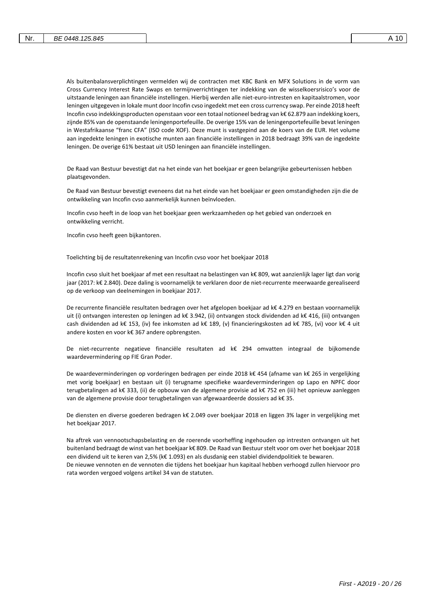Als buitenbalansverplichtingen vermelden wij de contracten met KBC Bank en MFX Solutions in de vorm van Cross Currency Interest Rate Swaps en termijnverrichtingen ter indekking van de wisselkoersrisico's voor de uitstaande leningen aan financiële instellingen. Hierbij werden alle niet-euro-intresten en kapitaalstromen, voor leningen uitgegeven in lokale munt door Incofin cvso ingedekt met een cross currency swap. Per einde 2018 heeft Incofin cvso indekkingsproducten openstaan voor een totaal notioneel bedrag van k€ 62.879 aan indekking koers, zijnde 85% van de openstaande leningenportefeuille. De overige 15% van de leningenportefeuille bevat leningen in Westafrikaanse "franc CFA" (ISO code XOF). Deze munt is vastgepind aan de koers van de EUR. Het volume aan ingedekte leningen in exotische munten aan financiële instellingen in 2018 bedraagt 39% van de ingedekte leningen. De overige 61% bestaat uit USD leningen aan financiële instellingen.

De Raad van Bestuur bevestigt dat na het einde van het boekjaar er geen belangrijke gebeurtenissen hebben plaatsgevonden.

De Raad van Bestuur bevestigt eveneens dat na het einde van het boekjaar er geen omstandigheden zijn die de ontwikkeling van Incofin cvso aanmerkelijk kunnen beïnvloeden.

Incofin cvso heeft in de loop van het boekjaar geen werkzaamheden op het gebied van onderzoek en ontwikkeling verricht.

Incofin cvso heeft geen bijkantoren.

Toelichting bij de resultatenrekening van Incofin cvso voor het boekjaar 2018

Incofin cvso sluit het boekjaar af met een resultaat na belastingen van k€ 809, wat aanzienlijk lager ligt dan vorig jaar (2017: k€ 2.840). Deze daling is voornamelijk te verklaren door de niet-recurrente meerwaarde gerealiseerd op de verkoop van deelnemingen in boekjaar 2017.

De recurrente financiële resultaten bedragen over het afgelopen boekjaar ad k€ 4.279 en bestaan voornamelijk uit (i) ontvangen interesten op leningen ad k€ 3.942, (ii) ontvangen stock dividenden ad k€ 416, (iii) ontvangen cash dividenden ad k€ 153, (iv) fee inkomsten ad k€ 189, (v) financieringskosten ad k€ 785, (vi) voor k€ 4 uit andere kosten en voor k€ 367 andere opbrengsten.

De niet-recurrente negatieve financiële resultaten ad k€ 294 omvatten integraal de bijkomende waardevermindering op FIE Gran Poder.

De waardeverminderingen op vorderingen bedragen per einde 2018 k€ 454 (afname van k€ 265 in vergelijking met vorig boekjaar) en bestaan uit (i) terugname specifieke waardeverminderingen op Lapo en NPFC door terugbetalingen ad k€ 333, (ii) de opbouw van de algemene provisie ad k€ 752 en (iii) het opnieuw aanleggen van de algemene provisie door terugbetalingen van afgewaardeerde dossiers ad k€ 35.

De diensten en diverse goederen bedragen k€ 2.049 over boekjaar 2018 en liggen 3% lager in vergelijking met het boekjaar 2017.

Na aftrek van vennootschapsbelasting en de roerende voorheffing ingehouden op intresten ontvangen uit het buitenland bedraagt de winst van het boekjaar k€ 809. De Raad van Bestuur stelt voor om over het boekjaar 2018 een dividend uit te keren van 2,5% (k€ 1.093) en als dusdanig een stabiel dividendpolitiek te bewaren. De nieuwe vennoten en de vennoten die tijdens het boekjaar hun kapitaal hebben verhoogd zullen hiervoor pro rata worden vergoed volgens artikel 34 van de statuten.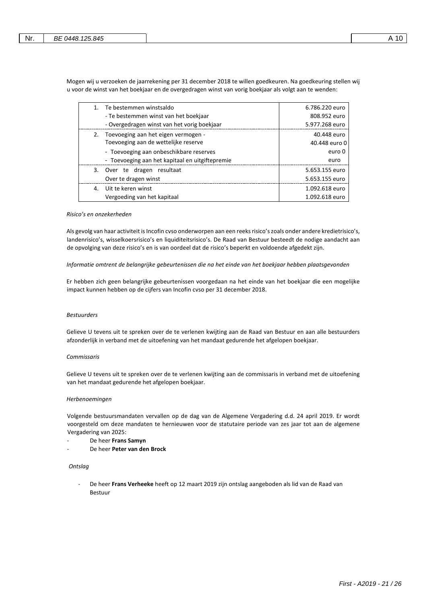Mogen wij u verzoeken de jaarrekening per 31 december 2018 te willen goedkeuren. Na goedkeuring stellen wij u voor de winst van het boekjaar en de overgedragen winst van vorig boekjaar als volgt aan te wenden:

| 1. | Te bestemmen winstsaldo                         | 6.786.220 euro |
|----|-------------------------------------------------|----------------|
|    | - Te bestemmen winst van het boekjaar           | 808.952 euro   |
|    | - Overgedragen winst van het vorig boekjaar     | 5.977.268 euro |
| 2. | Toevoeging aan het eigen vermogen -             | 40.448 euro    |
|    | Toevoeging aan de wettelijke reserve            | 40.448 euro 0  |
|    | - Toevoeging aan onbeschikbare reserves         | euro 0         |
|    | - Toevoeging aan het kapitaal en uitgiftepremie | euro           |
|    | 3. Over te dragen resultaat                     | 5.653.155 euro |
|    | Over te dragen winst                            | 5.653.155 euro |
| 4. | Uit te keren winst                              | 1.092.618 euro |
|    | Vergoeding van het kapitaal                     | 1.092.618 euro |

#### *Risico's en onzekerheden*

Als gevolg van haar activiteit is Incofin cvso onderworpen aan een reeks risico's zoals onder andere kredietrisico's, landenrisico's, wisselkoersrisico's en liquiditeitsrisico's. De Raad van Bestuur besteedt de nodige aandacht aan de opvolging van deze risico's en is van oordeel dat de risico's beperkt en voldoende afgedekt zijn.

#### *Informatie omtrent de belangrijke gebeurtenissen die na het einde van het boekjaar hebben plaatsgevonden*

Er hebben zich geen belangrijke gebeurtenissen voorgedaan na het einde van het boekjaar die een mogelijke impact kunnen hebben op de cijfers van Incofin cvso per 31 december 2018.

#### *Bestuurders*

Gelieve U tevens uit te spreken over de te verlenen kwijting aan de Raad van Bestuur en aan alle bestuurders afzonderlijk in verband met de uitoefening van het mandaat gedurende het afgelopen boekjaar.

### *Commissaris*

Gelieve U tevens uit te spreken over de te verlenen kwijting aan de commissaris in verband met de uitoefening van het mandaat gedurende het afgelopen boekjaar.

#### *Herbenoemingen*

Volgende bestuursmandaten vervallen op de dag van de Algemene Vergadering d.d. 24 april 2019. Er wordt voorgesteld om deze mandaten te hernieuwen voor de statutaire periode van zes jaar tot aan de algemene Vergadering van 2025:

- De heer **Frans Samyn**
- De heer **Peter van den Brock**

### *Ontslag*

- De heer **Frans Verheeke** heeft op 12 maart 2019 zijn ontslag aangeboden als lid van de Raad van Bestuur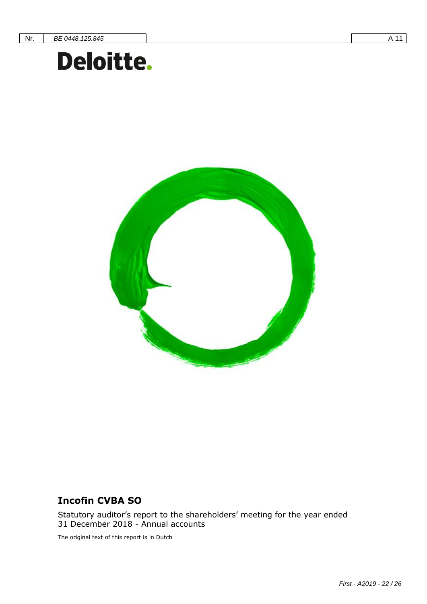# **Incofin CVBA SO** Document subtitle= Verdana Heading 12 0/0 single



# **Incofin CVBA SO**

Statutory auditor's report to the shareholders' meeting for the year ended 31 December 2018 - Annual accounts

The original text of this report is in Dutch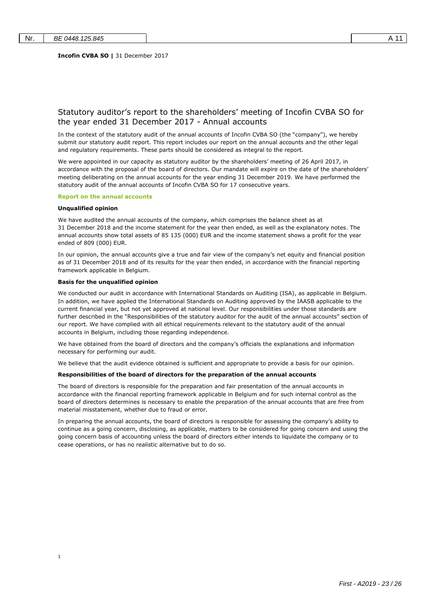### Statutory auditor's report to the shareholders' meeting of Incofin CVBA SO for the year ended 31 December 2017 - Annual accounts

In the context of the statutory audit of the annual accounts of Incofin CVBA SO (the "company"), we hereby submit our statutory audit report. This report includes our report on the annual accounts and the other legal and regulatory requirements. These parts should be considered as integral to the report.

We were appointed in our capacity as statutory auditor by the shareholders' meeting of 26 April 2017, in accordance with the proposal of the board of directors. Our mandate will expire on the date of the shareholders' meeting deliberating on the annual accounts for the year ending 31 December 2019. We have performed the statutory audit of the annual accounts of Incofin CVBA SO for 17 consecutive years.

#### **Report on the annual accounts**

### **Unqualified opinion**

1

We have audited the annual accounts of the company, which comprises the balance sheet as at 31 December 2018 and the income statement for the year then ended, as well as the explanatory notes. The annual accounts show total assets of 85 135 (000) EUR and the income statement shows a profit for the year ended of 809 (000) EUR.

In our opinion, the annual accounts give a true and fair view of the company's net equity and financial position as of 31 December 2018 and of its results for the year then ended, in accordance with the financial reporting framework applicable in Belgium.

#### **Basis for the unqualified opinion**

We conducted our audit in accordance with International Standards on Auditing (ISA), as applicable in Belgium. In addition, we have applied the International Standards on Auditing approved by the IAASB applicable to the current financial year, but not yet approved at national level. Our responsibilities under those standards are further described in the "Responsibilities of the statutory auditor for the audit of the annual accounts" section of our report. We have complied with all ethical requirements relevant to the statutory audit of the annual accounts in Belgium, including those regarding independence.

We have obtained from the board of directors and the company's officials the explanations and information necessary for performing our audit.

We believe that the audit evidence obtained is sufficient and appropriate to provide a basis for our opinion.

#### **Responsibilities of the board of directors for the preparation of the annual accounts**

The board of directors is responsible for the preparation and fair presentation of the annual accounts in accordance with the financial reporting framework applicable in Belgium and for such internal control as the board of directors determines is necessary to enable the preparation of the annual accounts that are free from material misstatement, whether due to fraud or error.

In preparing the annual accounts, the board of directors is responsible for assessing the company's ability to continue as a going concern, disclosing, as applicable, matters to be considered for going concern and using the going concern basis of accounting unless the board of directors either intends to liquidate the company or to cease operations, or has no realistic alternative but to do so.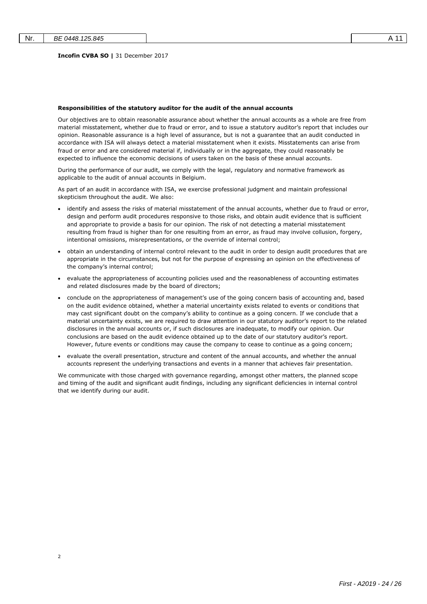$\overline{2}$ 

#### **Incofin CVBA SO |** 31 December 2017

#### **Responsibilities of the statutory auditor for the audit of the annual accounts**

Our objectives are to obtain reasonable assurance about whether the annual accounts as a whole are free from material misstatement, whether due to fraud or error, and to issue a statutory auditor's report that includes our opinion. Reasonable assurance is a high level of assurance, but is not a guarantee that an audit conducted in accordance with ISA will always detect a material misstatement when it exists. Misstatements can arise from fraud or error and are considered material if, individually or in the aggregate, they could reasonably be expected to influence the economic decisions of users taken on the basis of these annual accounts.

During the performance of our audit, we comply with the legal, regulatory and normative framework as applicable to the audit of annual accounts in Belgium.

As part of an audit in accordance with ISA, we exercise professional judgment and maintain professional skepticism throughout the audit. We also:

- identify and assess the risks of material misstatement of the annual accounts, whether due to fraud or error, design and perform audit procedures responsive to those risks, and obtain audit evidence that is sufficient and appropriate to provide a basis for our opinion. The risk of not detecting a material misstatement resulting from fraud is higher than for one resulting from an error, as fraud may involve collusion, forgery, intentional omissions, misrepresentations, or the override of internal control;
- obtain an understanding of internal control relevant to the audit in order to design audit procedures that are appropriate in the circumstances, but not for the purpose of expressing an opinion on the effectiveness of the company's internal control;
- evaluate the appropriateness of accounting policies used and the reasonableness of accounting estimates and related disclosures made by the board of directors;
- conclude on the appropriateness of management's use of the going concern basis of accounting and, based on the audit evidence obtained, whether a material uncertainty exists related to events or conditions that may cast significant doubt on the company's ability to continue as a going concern. If we conclude that a material uncertainty exists, we are required to draw attention in our statutory auditor's report to the related disclosures in the annual accounts or, if such disclosures are inadequate, to modify our opinion. Our conclusions are based on the audit evidence obtained up to the date of our statutory auditor's report. However, future events or conditions may cause the company to cease to continue as a going concern;
- evaluate the overall presentation, structure and content of the annual accounts, and whether the annual accounts represent the underlying transactions and events in a manner that achieves fair presentation.

We communicate with those charged with governance regarding, amongst other matters, the planned scope and timing of the audit and significant audit findings, including any significant deficiencies in internal control that we identify during our audit.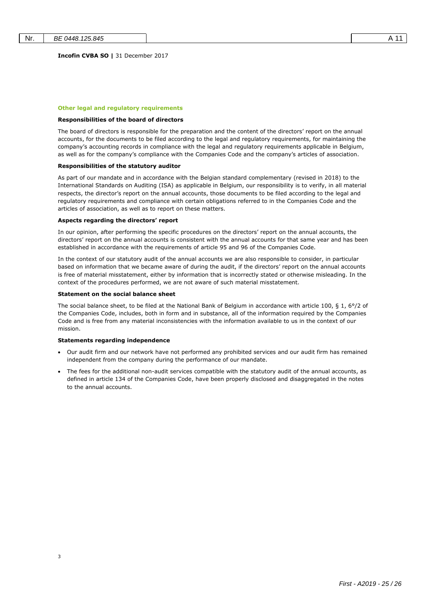**Incofin CVBA SO |** 31 December 2017

#### **Other legal and regulatory requirements**

#### **Responsibilities of the board of directors**

The board of directors is responsible for the preparation and the content of the directors' report on the annual accounts, for the documents to be filed according to the legal and regulatory requirements, for maintaining the company's accounting records in compliance with the legal and regulatory requirements applicable in Belgium, as well as for the company's compliance with the Companies Code and the company's articles of association.

#### **Responsibilities of the statutory auditor**

As part of our mandate and in accordance with the Belgian standard complementary (revised in 2018) to the International Standards on Auditing (ISA) as applicable in Belgium, our responsibility is to verify, in all material respects, the director's report on the annual accounts, those documents to be filed according to the legal and regulatory requirements and compliance with certain obligations referred to in the Companies Code and the articles of association, as well as to report on these matters.

#### **Aspects regarding the directors' report**

In our opinion, after performing the specific procedures on the directors' report on the annual accounts, the directors' report on the annual accounts is consistent with the annual accounts for that same year and has been established in accordance with the requirements of article 95 and 96 of the Companies Code.

In the context of our statutory audit of the annual accounts we are also responsible to consider, in particular based on information that we became aware of during the audit, if the directors' report on the annual accounts is free of material misstatement, either by information that is incorrectly stated or otherwise misleading. In the context of the procedures performed, we are not aware of such material misstatement.

#### **Statement on the social balance sheet**

The social balance sheet, to be filed at the National Bank of Belgium in accordance with article 100, § 1, 6°/2 of the Companies Code, includes, both in form and in substance, all of the information required by the Companies Code and is free from any material inconsistencies with the information available to us in the context of our mission.

### **Statements regarding independence**

3

- Our audit firm and our network have not performed any prohibited services and our audit firm has remained independent from the company during the performance of our mandate.
- The fees for the additional non-audit services compatible with the statutory audit of the annual accounts, as defined in article 134 of the Companies Code, have been properly disclosed and disaggregated in the notes to the annual accounts.